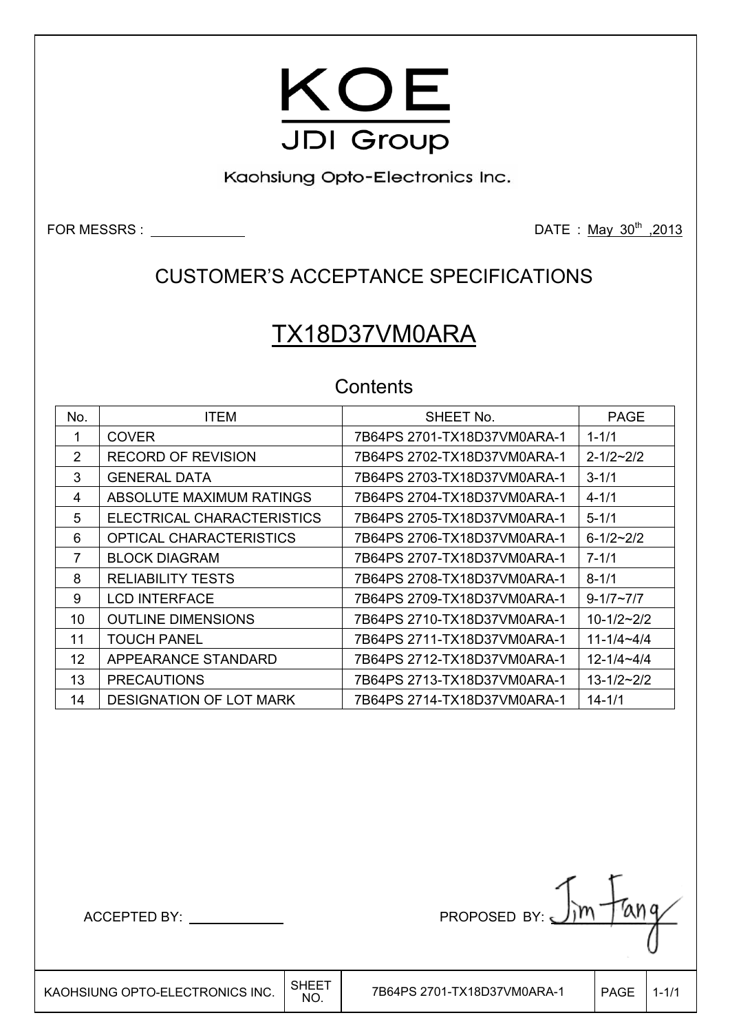

Kaohsiung Opto-Electronics Inc.

FOR MESSRS : DATE : May 30th ,2013

## CUSTOMER'S ACCEPTANCE SPECIFICATIONS

# TX18D37VM0ARA

### **Contents**

| No. | <b>ITEM</b>                    | SHEET No.                   | <b>PAGE</b>         |
|-----|--------------------------------|-----------------------------|---------------------|
| 1   | <b>COVER</b>                   | 7B64PS 2701-TX18D37VM0ARA-1 | $1 - 1/1$           |
| 2   | <b>RECORD OF REVISION</b>      |                             | $2 - 1/2 - 2/2$     |
| 3   | <b>GENERAL DATA</b>            |                             | $3 - 1/1$           |
| 4   | ABSOLUTE MAXIMUM RATINGS       | 7B64PS 2704-TX18D37VM0ARA-1 | $4 - 1/1$           |
| 5   | ELECTRICAL CHARACTERISTICS     | 7B64PS 2705-TX18D37VM0ARA-1 | $5 - 1/1$           |
| 6   | <b>OPTICAL CHARACTERISTICS</b> | 7B64PS 2706-TX18D37VM0ARA-1 | $6 - 1/2 - 2/2$     |
| 7   | <b>BLOCK DIAGRAM</b>           | 7B64PS 2707-TX18D37VM0ARA-1 | $7 - 1/1$           |
| 8   | <b>RELIABILITY TESTS</b>       |                             | $8 - 1/1$           |
| 9   | <b>LCD INTERFACE</b>           | 7B64PS 2709-TX18D37VM0ARA-1 | $9 - 1/7 \sim 7/7$  |
| 10  | <b>OUTLINE DIMENSIONS</b>      | 7B64PS 2710-TX18D37VM0ARA-1 | $10 - 1/2 - 2/2$    |
| 11  | <b>TOUCH PANEL</b>             | 7B64PS 2711-TX18D37VM0ARA-1 | $11 - 1/4 - 4/4$    |
| 12  | APPEARANCE STANDARD            | 7B64PS 2712-TX18D37VM0ARA-1 | $12 - 1/4 - 4/4$    |
| 13  | <b>PRECAUTIONS</b>             | 7B64PS 2713-TX18D37VM0ARA-1 | $13 - 1/2 \sim 2/2$ |
| 14  | <b>DESIGNATION OF LOT MARK</b> | 7B64PS 2714-TX18D37VM0ARA-1 | $14 - 1/1$          |

ACCEPTED BY: PROPOSED BY:

 $\mathsf{I}$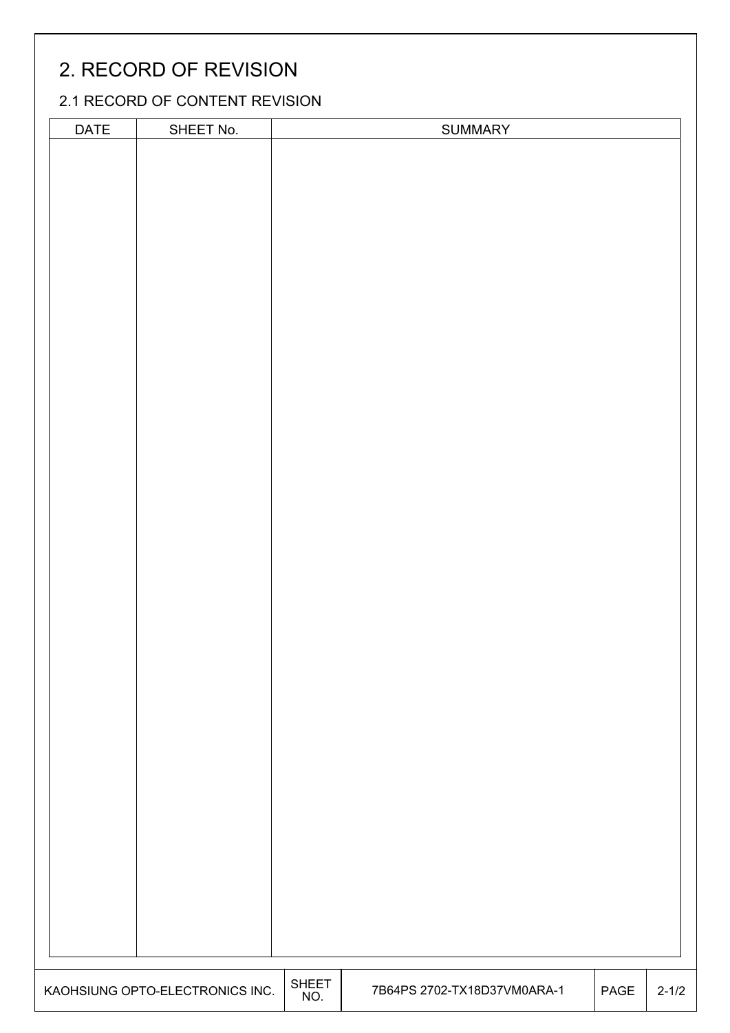# 2. RECORD OF REVISION

### 2.1 RECORD OF CONTENT REVISION

| DATE | SHEET No.                       |       | <b>SUMMARY</b>              |      |           |
|------|---------------------------------|-------|-----------------------------|------|-----------|
|      |                                 |       |                             |      |           |
|      |                                 |       |                             |      |           |
|      |                                 |       |                             |      |           |
|      |                                 |       |                             |      |           |
|      |                                 |       |                             |      |           |
|      |                                 |       |                             |      |           |
|      |                                 |       |                             |      |           |
|      |                                 |       |                             |      |           |
|      |                                 |       |                             |      |           |
|      |                                 |       |                             |      |           |
|      |                                 |       |                             |      |           |
|      |                                 |       |                             |      |           |
|      |                                 |       |                             |      |           |
|      |                                 |       |                             |      |           |
|      |                                 |       |                             |      |           |
|      |                                 |       |                             |      |           |
|      |                                 |       |                             |      |           |
|      |                                 |       |                             |      |           |
|      |                                 |       |                             |      |           |
|      |                                 |       |                             |      |           |
|      |                                 |       |                             |      |           |
|      |                                 |       |                             |      |           |
|      |                                 |       |                             |      |           |
|      |                                 |       |                             |      |           |
|      |                                 |       |                             |      |           |
|      |                                 |       |                             |      |           |
|      |                                 |       |                             |      |           |
|      |                                 |       |                             |      |           |
|      |                                 |       |                             |      |           |
|      |                                 |       |                             |      |           |
|      |                                 |       |                             |      |           |
|      |                                 |       |                             |      |           |
|      |                                 |       |                             |      |           |
|      |                                 |       |                             |      |           |
|      |                                 |       |                             |      |           |
|      |                                 |       |                             |      |           |
|      |                                 |       |                             |      |           |
|      |                                 |       |                             |      |           |
|      |                                 |       |                             |      |           |
|      |                                 |       |                             |      |           |
|      |                                 |       |                             |      |           |
|      |                                 |       |                             |      |           |
|      |                                 |       |                             |      |           |
|      |                                 |       |                             |      |           |
|      |                                 |       |                             |      |           |
|      |                                 |       |                             |      |           |
|      |                                 |       |                             |      |           |
|      |                                 |       |                             |      |           |
|      |                                 |       |                             |      |           |
|      |                                 |       |                             |      |           |
|      |                                 |       |                             |      |           |
|      |                                 |       |                             |      |           |
|      |                                 |       |                             |      |           |
|      |                                 |       |                             |      |           |
|      |                                 |       |                             |      |           |
|      |                                 |       |                             |      |           |
|      | KAOHSIUNG OPTO-ELECTRONICS INC. | SHEET | 7B64PS 2702-TX18D37VM0ARA-1 | PAGE | $2 - 1/2$ |
|      |                                 | NO.   |                             |      |           |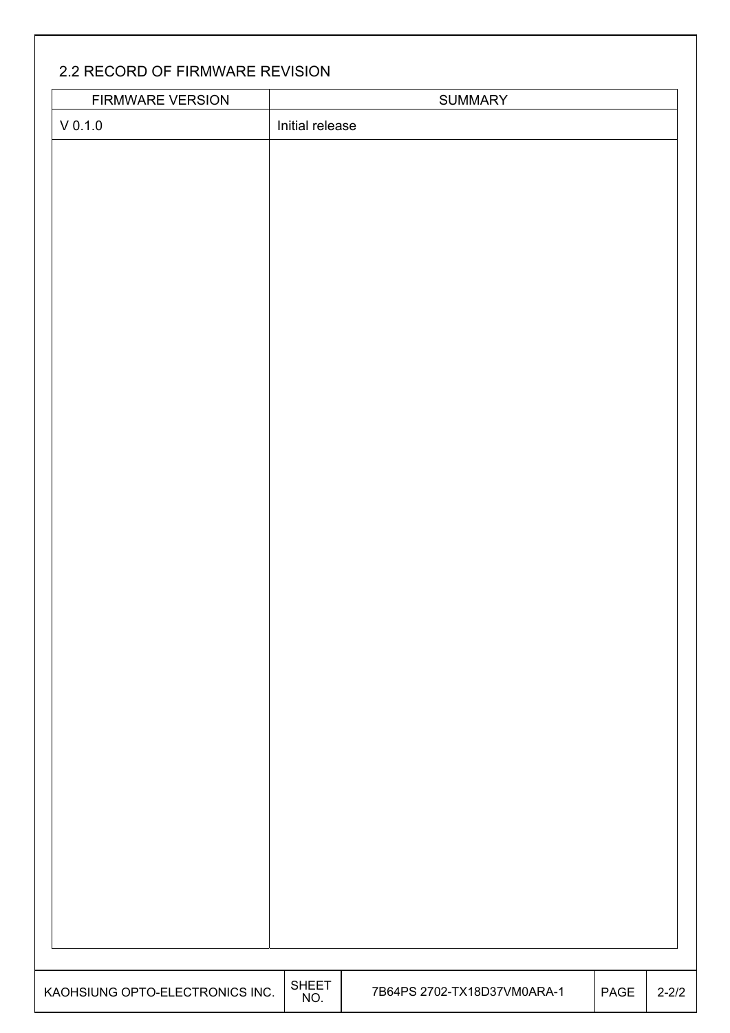### 2.2 RECORD OF FIRMWARE REVISION

 $\mathsf{I}$ 

| FIRMWARE VERSION                |                     | <b>SUMMARY</b>              |      |           |
|---------------------------------|---------------------|-----------------------------|------|-----------|
| $\vee$ 0.1.0                    | Initial release     |                             |      |           |
|                                 |                     |                             |      |           |
|                                 |                     |                             |      |           |
|                                 |                     |                             |      |           |
|                                 |                     |                             |      |           |
|                                 |                     |                             |      |           |
|                                 |                     |                             |      |           |
|                                 |                     |                             |      |           |
|                                 |                     |                             |      |           |
|                                 |                     |                             |      |           |
|                                 |                     |                             |      |           |
|                                 |                     |                             |      |           |
|                                 |                     |                             |      |           |
|                                 |                     |                             |      |           |
|                                 |                     |                             |      |           |
|                                 |                     |                             |      |           |
|                                 |                     |                             |      |           |
|                                 |                     |                             |      |           |
|                                 |                     |                             |      |           |
|                                 |                     |                             |      |           |
|                                 |                     |                             |      |           |
|                                 |                     |                             |      |           |
|                                 |                     |                             |      |           |
|                                 |                     |                             |      |           |
|                                 |                     |                             |      |           |
|                                 |                     |                             |      |           |
|                                 |                     |                             |      |           |
|                                 |                     |                             |      |           |
|                                 |                     |                             |      |           |
|                                 |                     |                             |      |           |
|                                 |                     |                             |      |           |
|                                 |                     |                             |      |           |
|                                 |                     |                             |      |           |
|                                 |                     |                             |      |           |
| KAOHSIUNG OPTO-ELECTRONICS INC. | <b>SHEET</b><br>NO. | 7B64PS 2702-TX18D37VM0ARA-1 | PAGE | $2 - 2/2$ |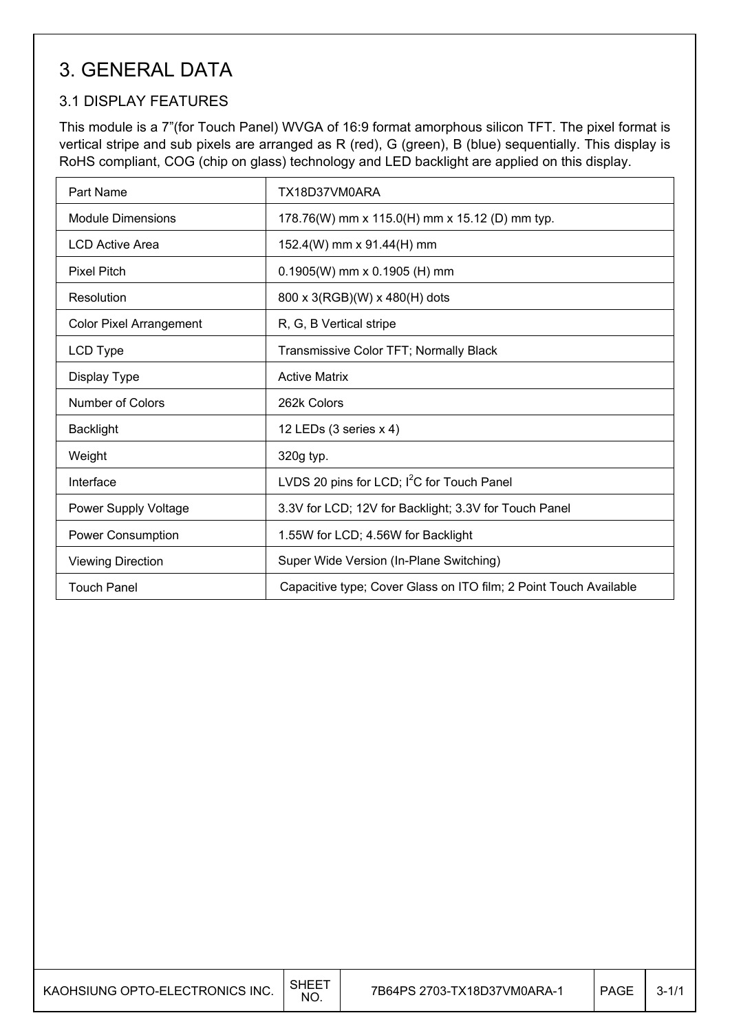## 3. GENERAL DATA

### 3.1 DISPLAY FEATURES

This module is a 7"(for Touch Panel) WVGA of 16:9 format amorphous silicon TFT. The pixel format is vertical stripe and sub pixels are arranged as R (red), G (green), B (blue) sequentially. This display is RoHS compliant, COG (chip on glass) technology and LED backlight are applied on this display.

| Part Name                      | TX18D37VM0ARA                                                     |
|--------------------------------|-------------------------------------------------------------------|
| <b>Module Dimensions</b>       | 178.76(W) mm x 115.0(H) mm x 15.12 (D) mm typ.                    |
| <b>LCD Active Area</b>         | 152.4(W) mm x 91.44(H) mm                                         |
| <b>Pixel Pitch</b>             | $0.1905(W)$ mm x 0.1905 (H) mm                                    |
| Resolution                     | 800 x 3(RGB)(W) x 480(H) dots                                     |
| <b>Color Pixel Arrangement</b> | R, G, B Vertical stripe                                           |
| LCD Type                       | Transmissive Color TFT; Normally Black                            |
| Display Type                   | <b>Active Matrix</b>                                              |
| <b>Number of Colors</b>        | 262k Colors                                                       |
| <b>Backlight</b>               | 12 LEDs (3 series x 4)                                            |
| Weight                         | 320g typ.                                                         |
| Interface                      | LVDS 20 pins for LCD; I <sup>2</sup> C for Touch Panel            |
| Power Supply Voltage           | 3.3V for LCD; 12V for Backlight; 3.3V for Touch Panel             |
| Power Consumption              | 1.55W for LCD; 4.56W for Backlight                                |
| <b>Viewing Direction</b>       | Super Wide Version (In-Plane Switching)                           |
| <b>Touch Panel</b>             | Capacitive type; Cover Glass on ITO film; 2 Point Touch Available |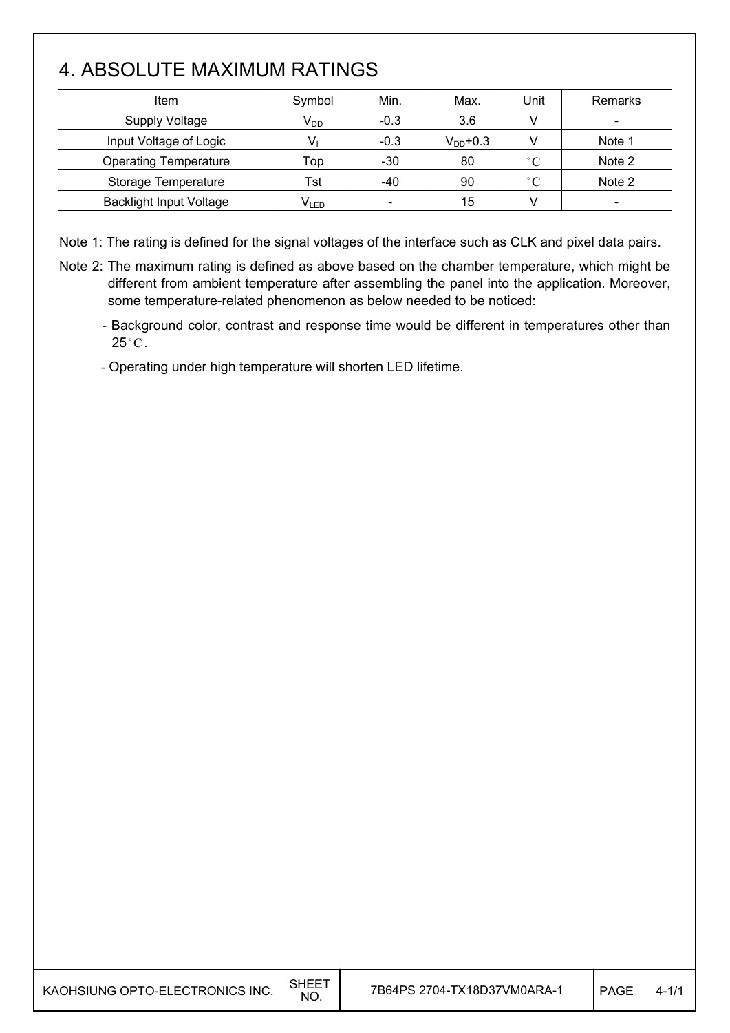# 4. ABSOLUTE MAXIMUM RATINGS

| Item                           | Symbol    | Min.   | Max.          | Unit         | Remarks                  |
|--------------------------------|-----------|--------|---------------|--------------|--------------------------|
| <b>Supply Voltage</b>          | $V_{DD}$  | $-0.3$ | 3.6           |              | $\overline{\phantom{a}}$ |
| Input Voltage of Logic         |           | $-0.3$ | $V_{DD}$ +0.3 |              | Note 1                   |
| <b>Operating Temperature</b>   | Top       | $-30$  | 80            | $^{\circ}$ C | Note 2                   |
| Storage Temperature            | Tst       | -40    | 90            | $^{\circ}C$  | Note 2                   |
| <b>Backlight Input Voltage</b> | $V_{LED}$ |        | 15            |              |                          |

Note 1: The rating is defined for the signal voltages of the interface such as CLK and pixel data pairs.

- Note 2: The maximum rating is defined as above based on the chamber temperature, which might be different from ambient temperature after assembling the panel into the application. Moreover, some temperature-related phenomenon as below needed to be noticed:
	- Background color, contrast and response time would be different in temperatures other than  $25^{\circ}$ C.
	- Operating under high temperature will shorten LED lifetime.

| KAOHSIUNG OPTO-ELECTRONICS INC. | <b>SHEET</b><br>NO. | 7B64PS 2704-TX18D37VM0ARA-1 | PAGE | $4 - 1/1$ |
|---------------------------------|---------------------|-----------------------------|------|-----------|
|---------------------------------|---------------------|-----------------------------|------|-----------|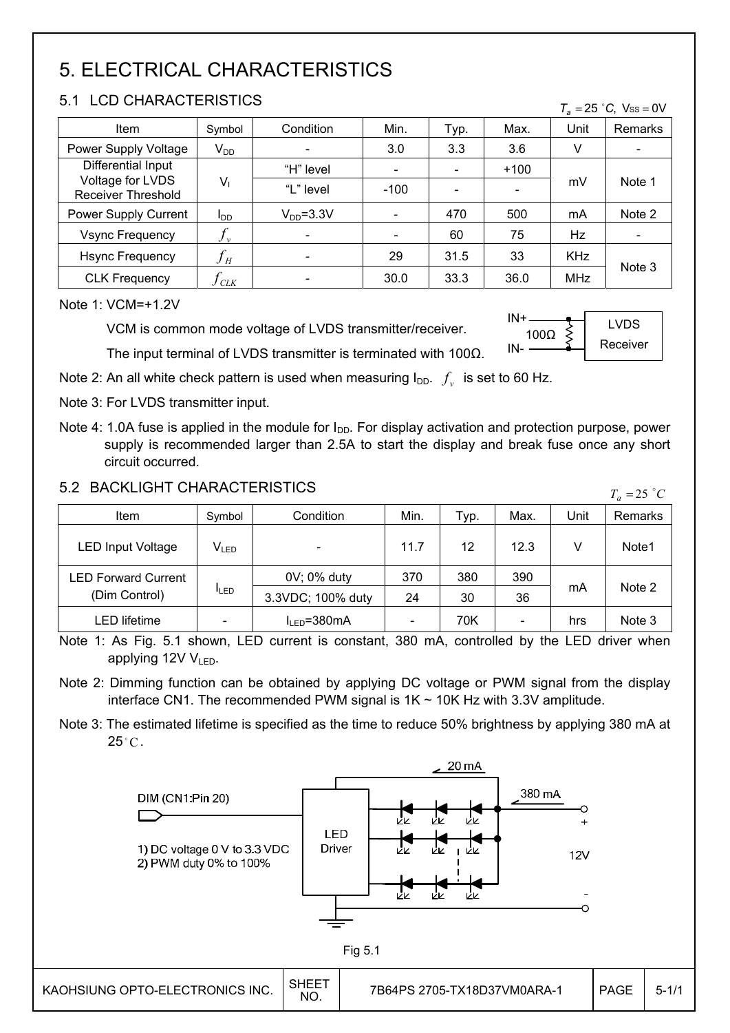# 5. ELECTRICAL CHARACTERISTICS

#### 5.1 LCD CHARACTERISTICS

| Item                                          | Symbol                     | Condition                    | Min.   | Typ.                         | Max.   | Unit       | Remarks                      |  |
|-----------------------------------------------|----------------------------|------------------------------|--------|------------------------------|--------|------------|------------------------------|--|
| Power Supply Voltage                          | $V_{DD}$                   |                              | 3.0    | 3.3                          | 3.6    |            |                              |  |
|                                               |                            |                              |        |                              |        |            |                              |  |
| Differential Input                            |                            | "H" level                    |        | $\qquad \qquad \blacksquare$ | $+100$ |            |                              |  |
| Voltage for LVDS<br><b>Receiver Threshold</b> | $V_1$                      | "L" level                    | $-100$ |                              |        | mV         | Note 1                       |  |
| Power Supply Current                          | I <sub>DD</sub>            | $V_{DD} = 3.3V$              |        | 470                          | 500    | mA         | Note 2                       |  |
| <b>Vsync Frequency</b>                        | $J_{\nu}$                  | $\qquad \qquad \blacksquare$ |        | 60                           | 75     | Hz         | $\qquad \qquad \blacksquare$ |  |
| <b>Hsync Frequency</b>                        | $f_{\scriptscriptstyle H}$ | $\qquad \qquad \blacksquare$ | 29     | 31.5                         | 33     | <b>KHz</b> |                              |  |
| <b>CLK Frequency</b>                          | <b>CLK</b>                 |                              | 30.0   | 33.3                         | 36.0   | <b>MHz</b> | Note 3                       |  |

Note 1: VCM=+1.2V

VCM is common mode voltage of LVDS transmitter/receiver.

The input terminal of LVDS transmitter is terminated with 100 $\Omega$ .



 $T_a = 25$  °C, Vss = 0V

Note 2: An all white check pattern is used when measuring  $I_{DD}$ .  $f_v$  is set to 60 Hz.

Note 3: For LVDS transmitter input.

Note 4: 1.0A fuse is applied in the module for  $I_{DD}$ . For display activation and protection purpose, power supply is recommended larger than 2.5A to start the display and break fuse once any short circuit occurred.

#### 5.2 BACKLIGHT CHARACTERISTICS

| 3.2 BAUNLIUM I UMARAU IERISTIUS |                          |                   |      |      |                          | $T_a = 25$ °C |         |  |
|---------------------------------|--------------------------|-------------------|------|------|--------------------------|---------------|---------|--|
| Item                            | Symbol                   | Condition         | Min. | Typ. | Max.                     | Unit          | Remarks |  |
| <b>LED Input Voltage</b>        | $V_{LED}$                |                   | 11.7 | 12   | 12.3                     |               | Note1   |  |
| <b>LED Forward Current</b>      |                          | 0V; 0% duty       | 370  | 380  | 390                      |               |         |  |
| (Dim Control)                   | <b>ILED</b>              | 3.3VDC; 100% duty | 24   | 30   | 36                       | mA            | Note 2  |  |
| LED lifetime                    | $\overline{\phantom{a}}$ | $I_{IFD} = 380mA$ |      | 70K  | $\overline{\phantom{0}}$ | hrs           | Note 3  |  |

Note 1: As Fig. 5.1 shown, LED current is constant, 380 mA, controlled by the LED driver when applying 12V  $V_{LED}$ .

Note 2: Dimming function can be obtained by applying DC voltage or PWM signal from the display interface CN1. The recommended PWM signal is  $1K \sim 10K$  Hz with 3.3V amplitude.

Note 3: The estimated lifetime is specified as the time to reduce 50% brightness by applying 380 mA at  $25^{\circ}$ C.

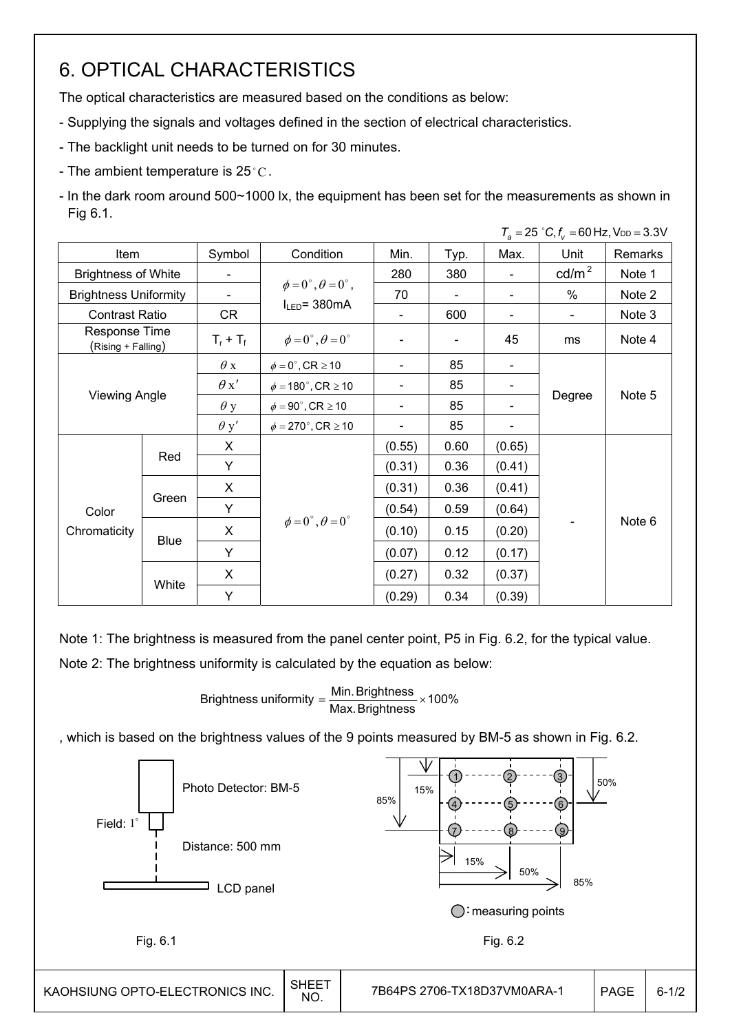## 6. OPTICAL CHARACTERISTICS

The optical characteristics are measured based on the conditions as below:

- Supplying the signals and voltages defined in the section of electrical characteristics.
- The backlight unit needs to be turned on for 30 minutes.
- The ambient temperature is 25 $^{\circ}$ C.
- In the dark room around 500~1000 lx, the equipment has been set for the measurements as shown in Fig 6.1.

|                                            |                      |             |                                          |        |                |                          | $T_a = 25$ °C, $f_v = 60$ Hz, $V_{DD} = 3.3$ V |         |
|--------------------------------------------|----------------------|-------------|------------------------------------------|--------|----------------|--------------------------|------------------------------------------------|---------|
| Item                                       |                      | Symbol      | Condition                                | Min.   | Typ.           | Max.                     | Unit                                           | Remarks |
| <b>Brightness of White</b>                 |                      |             |                                          | 280    | 380            |                          | $\text{cd/m}^2$                                | Note 1  |
| <b>Brightness Uniformity</b>               |                      |             | $\phi = 0^{\circ}, \theta = 0^{\circ}$ , | 70     |                |                          | $\%$                                           | Note 2  |
| <b>Contrast Ratio</b>                      |                      | CR          | $I_{LED}$ = 380mA                        |        | 600            | $\overline{\phantom{0}}$ | $\blacksquare$                                 | Note 3  |
| <b>Response Time</b><br>(Rising + Falling) |                      | $T_r + T_f$ | $\phi = 0^{\circ}, \theta = 0^{\circ}$   |        | $\blacksquare$ | 45                       | ms                                             | Note 4  |
|                                            |                      | $\theta$ x  | $\phi = 0^\circ$ , CR $\geq 10$          |        | 85             | $\overline{\phantom{a}}$ |                                                |         |
|                                            |                      | $\theta x'$ | $\phi = 180^{\circ}$ , CR $\geq 10$      |        | 85             |                          |                                                |         |
|                                            | <b>Viewing Angle</b> |             | $\phi = 90^\circ$ , CR $\geq 10$         |        | 85             |                          | Degree                                         | Note 5  |
|                                            |                      |             | $\phi = 270^\circ$ , CR $\geq 10$        |        | 85             |                          |                                                |         |
|                                            |                      | X           |                                          | (0.55) | 0.60           | (0.65)                   |                                                |         |
|                                            | Red                  | Y           |                                          | (0.31) | 0.36           | (0.41)                   |                                                |         |
|                                            |                      | X           |                                          | (0.31) | 0.36           | (0.41)                   |                                                |         |
| Color                                      | Green                | Y           |                                          | (0.54) | 0.59           | (0.64)                   |                                                |         |
| Chromaticity                               | Blue                 | X           | $\phi = 0^{\circ}, \theta = 0^{\circ}$   | (0.10) | 0.15           | (0.20)                   | $\qquad \qquad \blacksquare$                   | Note 6  |
|                                            |                      | Y           |                                          | (0.07) | 0.12           | (0.17)                   |                                                |         |
|                                            | White                | X           |                                          | (0.27) | 0.32           | (0.37)                   |                                                |         |
|                                            |                      | Y           |                                          | (0.29) | 0.34           | (0.39)                   |                                                |         |

Note 1: The brightness is measured from the panel center point, P5 in Fig. 6.2, for the typical value. Note 2: The brightness uniformity is calculated by the equation as below:

Brightness uniformity  $=\dfrac{\mathsf{Min}.\mathsf{Brightness}}{\mathsf{Max}.\mathsf{Brightness}}\times\mathsf{100\%}$ 

, which is based on the brightness values of the 9 points measured by BM-5 as shown in Fig. 6.2.

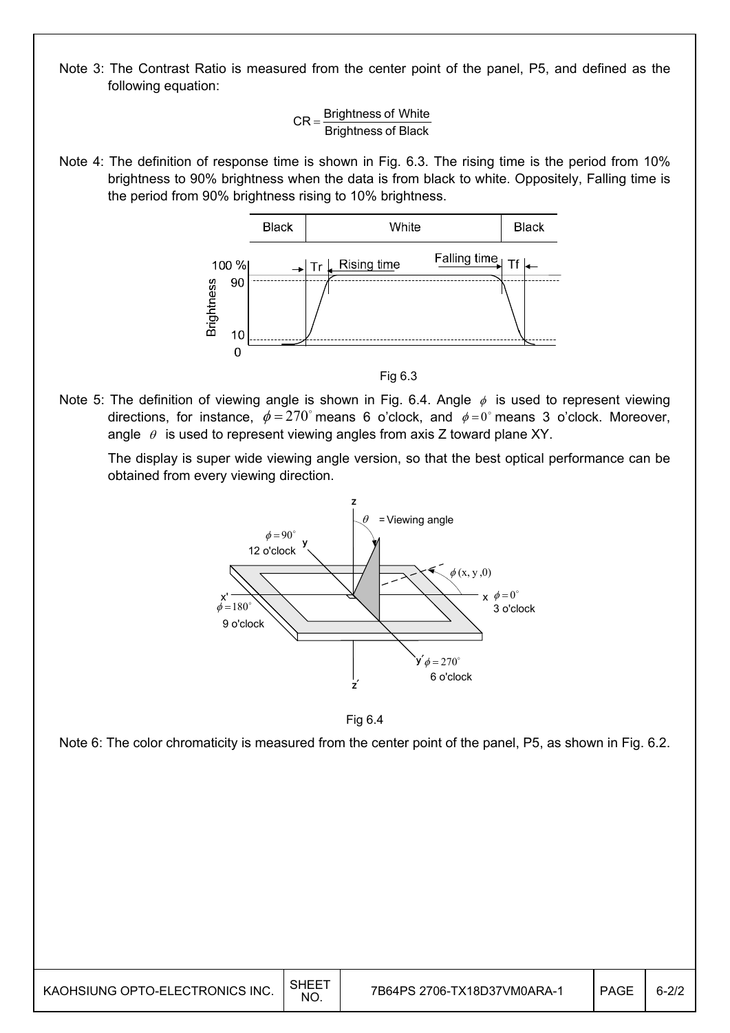Note 3: The Contrast Ratio is measured from the center point of the panel, P5, and defined as the following equation:

 $CR =$  Brightness of White<br>Brightness of Black

Note 4: The definition of response time is shown in Fig. 6.3. The rising time is the period from 10% brightness to 90% brightness when the data is from black to white. Oppositely, Falling time is the period from 90% brightness rising to 10% brightness.



Fig 6.3

Note 5: The definition of viewing angle is shown in Fig. 6.4. Angle  $\phi$  is used to represent viewing directions, for instance,  $\phi = 270^{\circ}$  means 6 o'clock, and  $\phi = 0^{\circ}$  means 3 o'clock. Moreover, angle  $\theta$  is used to represent viewing angles from axis Z toward plane XY.

 The display is super wide viewing angle version, so that the best optical performance can be obtained from every viewing direction.



Fig 6.4

Note 6: The color chromaticity is measured from the center point of the panel, P5, as shown in Fig. 6.2.

| SHEE<br>KAOHSIUNG OPTO-ELECTRONICS INC.<br><b>NO</b> | 7B64PS 2706-TX18D37VM0ARA-1 | PAGE | $6 - 2/2$ |
|------------------------------------------------------|-----------------------------|------|-----------|
|------------------------------------------------------|-----------------------------|------|-----------|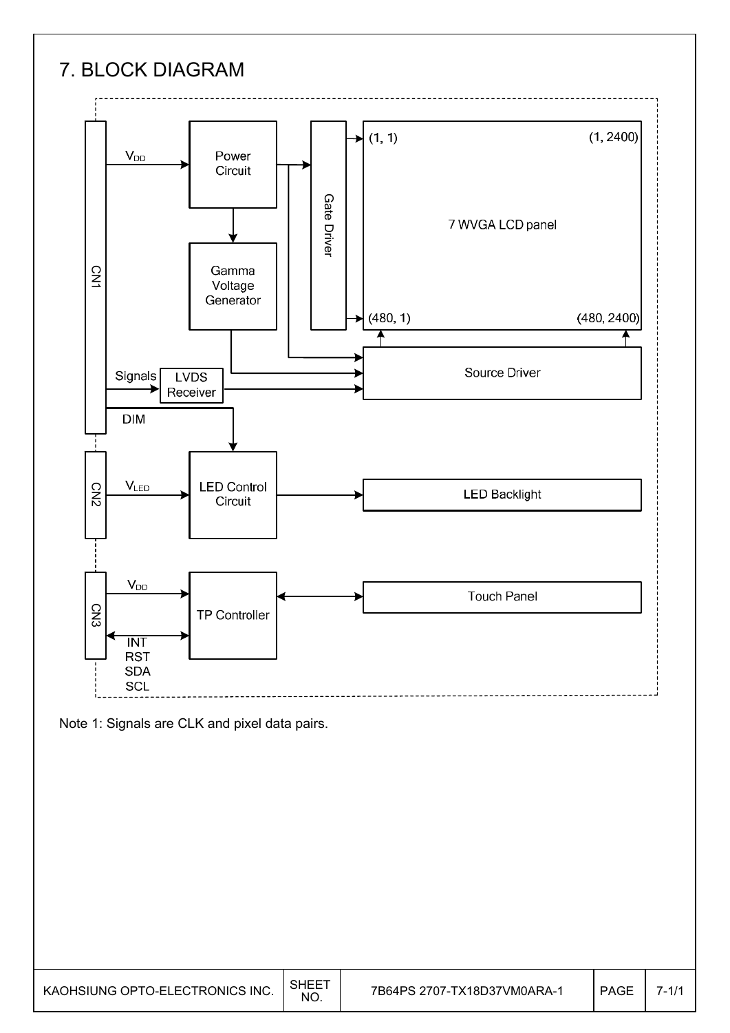## 7. BLOCK DIAGRAM





| KAOHSIUNG OPTO-ELECTRONICS INC. | NO. | 7B64PS 2707-TX18D37VM0ARA-1 | <b>PAGE</b> |  |
|---------------------------------|-----|-----------------------------|-------------|--|
|---------------------------------|-----|-----------------------------|-------------|--|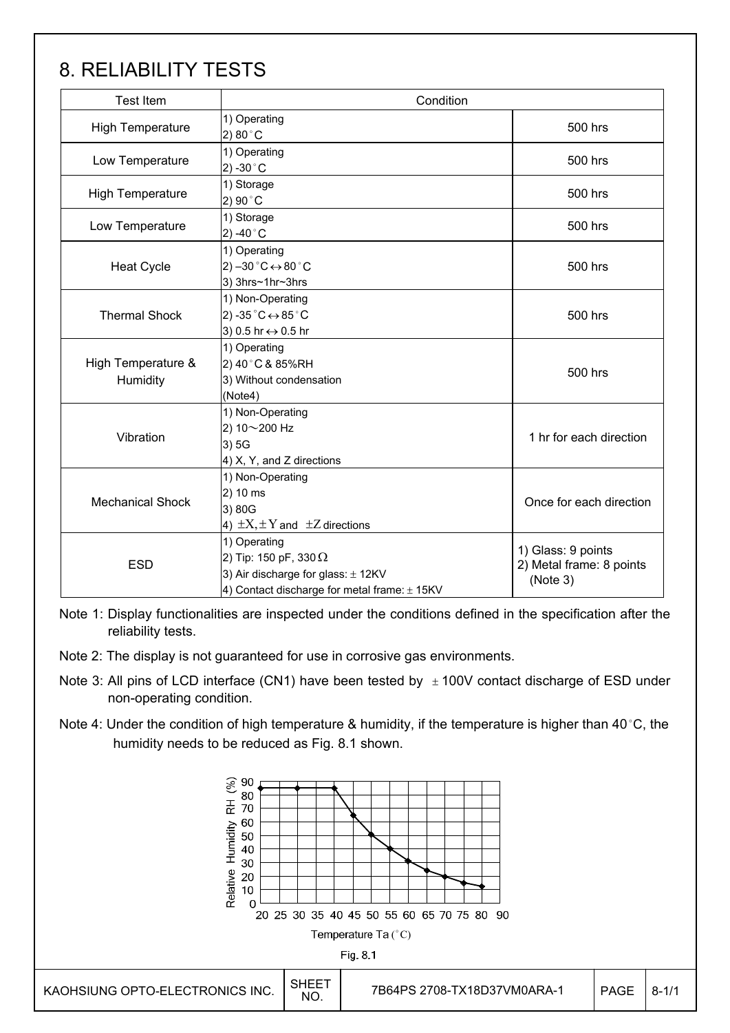## 8. RELIABILITY TESTS

| <b>Test Item</b>               | Condition                                                                                                                              |                                                            |  |
|--------------------------------|----------------------------------------------------------------------------------------------------------------------------------------|------------------------------------------------------------|--|
| <b>High Temperature</b>        | 1) Operating<br>2) 80 $^{\circ}$ C                                                                                                     | 500 hrs                                                    |  |
| Low Temperature                | 1) Operating<br>2) -30 $^{\circ}$ C                                                                                                    | 500 hrs                                                    |  |
| <b>High Temperature</b>        | 1) Storage<br>2) 90°C                                                                                                                  | 500 hrs                                                    |  |
| Low Temperature                | 1) Storage<br>2) -40 $^{\circ}$ C                                                                                                      | 500 hrs                                                    |  |
| <b>Heat Cycle</b>              | 1) Operating<br>2) $-30\degree C \leftrightarrow 80\degree C$<br>3) 3hrs~1hr~3hrs                                                      | 500 hrs                                                    |  |
| <b>Thermal Shock</b>           | 1) Non-Operating<br>2) -35 $^{\circ}$ C $\leftrightarrow$ 85 $^{\circ}$ C<br>3) 0.5 hr ↔ 0.5 hr                                        | 500 hrs                                                    |  |
| High Temperature &<br>Humidity | 1) Operating<br>2) 40°C & 85%RH<br>3) Without condensation<br>(Note4)                                                                  | 500 hrs                                                    |  |
| Vibration                      | 1) Non-Operating<br>2) 10~200 Hz<br>3)5G<br>4) X, Y, and Z directions                                                                  | 1 hr for each direction                                    |  |
| <b>Mechanical Shock</b>        | 1) Non-Operating<br>2) 10 ms<br>3) 80G<br>4) $\pm X, \pm Y$ and $\pm Z$ directions                                                     | Once for each direction                                    |  |
| <b>ESD</b>                     | 1) Operating<br>2) Tip: 150 pF, 330 $\Omega$<br>3) Air discharge for glass: ± 12KV<br>4) Contact discharge for metal frame: $\pm$ 15KV | 1) Glass: 9 points<br>2) Metal frame: 8 points<br>(Note 3) |  |

Note 1: Display functionalities are inspected under the conditions defined in the specification after the reliability tests.

Note 2: The display is not guaranteed for use in corrosive gas environments.

- Note 3: All pins of LCD interface (CN1) have been tested by  $\pm$  100V contact discharge of ESD under non-operating condition.
- Note 4: Under the condition of high temperature & humidity, if the temperature is higher than 40 °C, the humidity needs to be reduced as Fig. 8.1 shown.

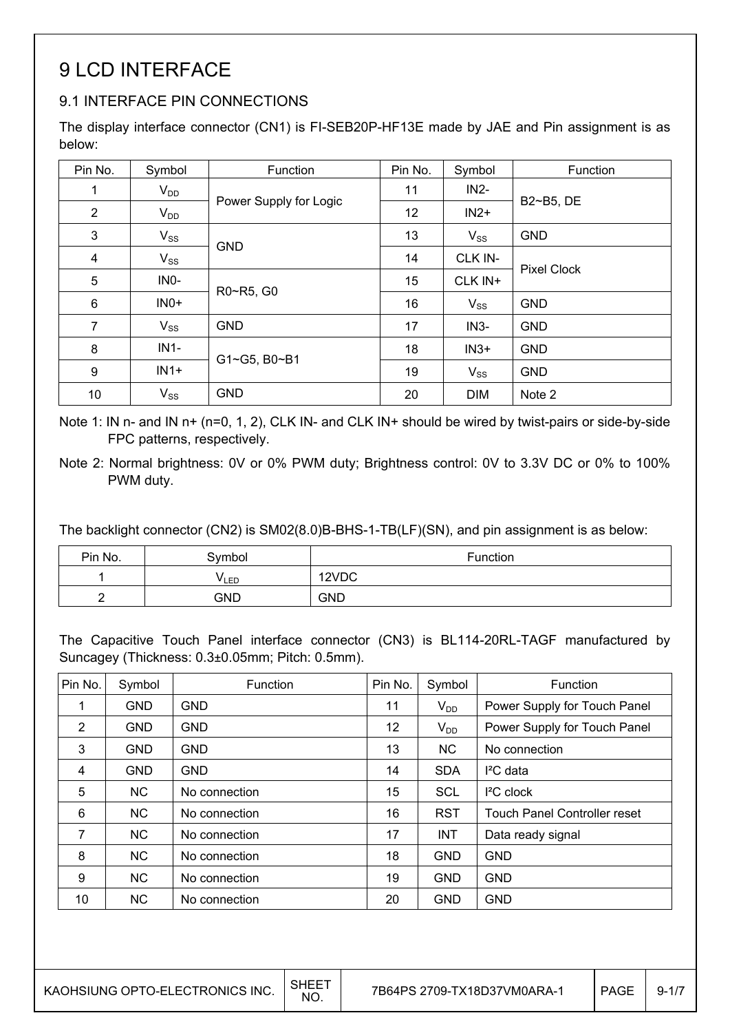## 9 LCD INTERFACE

### 9.1 INTERFACE PIN CONNECTIONS

The display interface connector (CN1) is FI-SEB20P-HF13E made by JAE and Pin assignment is as below:

| Pin No.                 | Symbol   | Function               | Pin No. | Symbol     | Function           |
|-------------------------|----------|------------------------|---------|------------|--------------------|
| 1                       | $V_{DD}$ |                        | 11      | $IN2-$     |                    |
| $\overline{2}$          | $V_{DD}$ | Power Supply for Logic | 12      | $IN2+$     | B2~B5, DE          |
| $\mathbf{3}$            | $V_{SS}$ | <b>GND</b>             | 13      | $V_{SS}$   | <b>GND</b>         |
| $\overline{\mathbf{4}}$ | $V_{SS}$ |                        | 14      | CLK IN-    |                    |
| 5                       | INO-     | R0~R5, G0              | 15      | CLK IN+    | <b>Pixel Clock</b> |
| $\,6$                   | $INO+$   |                        | 16      | $V_{SS}$   | <b>GND</b>         |
| $\overline{7}$          | $V_{SS}$ | <b>GND</b>             | 17      | $IN3-$     | <b>GND</b>         |
| 8                       | $IN1-$   | G1~G5, B0~B1           | 18      | $IN3+$     | <b>GND</b>         |
| 9                       | $IN1+$   |                        | 19      | $V_{SS}$   | <b>GND</b>         |
| 10                      | $V_{SS}$ | <b>GND</b>             | 20      | <b>DIM</b> | Note 2             |

Note 1: IN n- and IN n+ (n=0, 1, 2), CLK IN- and CLK IN+ should be wired by twist-pairs or side-by-side FPC patterns, respectively.

Note 2: Normal brightness: 0V or 0% PWM duty; Brightness control: 0V to 3.3V DC or 0% to 100% PWM duty.

The backlight connector (CN2) is SM02(8.0)B-BHS-1-TB(LF)(SN), and pin assignment is as below:

| Pin No. | Symbol | Function   |
|---------|--------|------------|
|         | VLED   | 12VDC      |
|         | GND    | <b>GND</b> |

The Capacitive Touch Panel interface connector (CN3) is BL114-20RL-TAGF manufactured by Suncagey (Thickness: 0.3±0.05mm; Pitch: 0.5mm).

| Pin No.        | Symbol         | Function      | Pin No. | Symbol     | Function                            |
|----------------|----------------|---------------|---------|------------|-------------------------------------|
| 1              | <b>GND</b>     | <b>GND</b>    | 11      | $V_{DD}$   | Power Supply for Touch Panel        |
| $\overline{2}$ | <b>GND</b>     | <b>GND</b>    | 12      | $V_{DD}$   | Power Supply for Touch Panel        |
| 3              | <b>GND</b>     | <b>GND</b>    | 13      | <b>NC</b>  | No connection                       |
| 4              | <b>GND</b>     | <b>GND</b>    | 14      | <b>SDA</b> | $I^2C$ data                         |
| 5              | <b>NC</b>      | No connection | 15      | <b>SCL</b> | $I2C$ clock                         |
| 6              | <b>NC</b>      | No connection | 16      | <b>RST</b> | <b>Touch Panel Controller reset</b> |
| 7              | N <sub>C</sub> | No connection | 17      | <b>INT</b> | Data ready signal                   |
| 8              | <b>NC</b>      | No connection | 18      | <b>GND</b> | <b>GND</b>                          |
| 9              | <b>NC</b>      | No connection | 19      | <b>GND</b> | <b>GND</b>                          |
| 10             | <b>NC</b>      | No connection | 20      | <b>GND</b> | <b>GND</b>                          |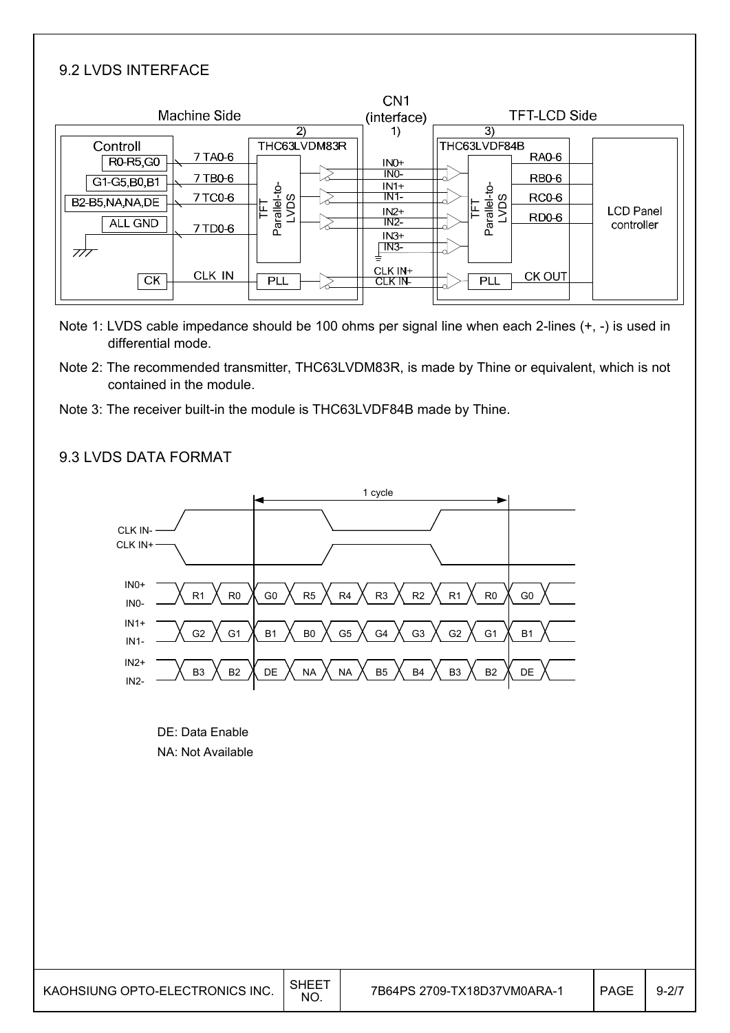#### 9.2 LVDS INTERFACE

|                       |              |                  | CN <sub>1</sub>            |                                            |                     |                                |
|-----------------------|--------------|------------------|----------------------------|--------------------------------------------|---------------------|--------------------------------|
|                       | Machine Side |                  | (interface)                |                                            | <b>TFT-LCD Side</b> |                                |
|                       |              | 2)               | 1)                         | 3)                                         |                     |                                |
| Controll<br>R0-R5, G0 | 7 TA0-6      | THC63LVDM83R     | $INO+$                     | THC63LVDF84B<br>RAO-6                      |                     |                                |
| G1-G5, B0, B1         | 7 TB0-6      |                  | INO-<br>$IN1+$             | RB <sub>0</sub> -6                         |                     |                                |
| B2-B5, NA, NA, DE     | 7 TCO-6      | Sq               | $IN1-$                     | <b>RC0-6</b>                               |                     |                                |
| ALL GND               | 7 TD0-6      | Parallel-to<br>Έ | $IN2+$<br>$IN2-$<br>$IN3+$ | Parallel-to-<br>LVDS<br>RD <sub>0</sub> -6 |                     | <b>LCD Panel</b><br>controller |
| 777                   |              |                  | N3                         |                                            |                     |                                |
| <b>CK</b>             | CLK IN       | <b>PLL</b>       | CLK IN+<br>CLK IN-         | <b>CK OUT</b><br><b>PLL</b>                |                     |                                |

- Note 1: LVDS cable impedance should be 100 ohms per signal line when each 2-lines (+, -) is used in differential mode.
- Note 2: The recommended transmitter, THC63LVDM83R, is made by Thine or equivalent, which is not contained in the module.
- Note 3: The receiver built-in the module is THC63LVDF84B made by Thine.

#### R1  $\bigwedge$  R0  $\bigwedge$  G0  $\bigwedge$  R5  $\bigwedge$  R4  $\bigwedge$  R3  $\bigwedge$  R2  $\bigwedge$  R1  $\bigwedge$  R0  $\bigwedge$  G0 G2 G1 B1 B0 G5 G4 G3 G2 G1 B1 B3  $\bigwedge$  B2  $\bigwedge$  DE  $\bigwedge$  NA  $\bigwedge$  NA  $\bigwedge$  B5  $\bigwedge$  B4  $\bigwedge$  B3  $\bigwedge$  B2  $\bigwedge$  DE 1 cycle CLK IN-CLK IN+ IN0+ IN0- IN1+ IN1- IN2+ IN2-

#### 9.3 LVDS DATA FORMAT

DE: Data Enable NA: Not Available

| KAOHSIUNG OPTO-ELECTRONICS INC. | <b>SHEET</b><br><b>NO</b> | 7B64PS 2709-TX18D37VM0ARA-1 | <b>PAGE</b> | $9 - 27$ |
|---------------------------------|---------------------------|-----------------------------|-------------|----------|
|---------------------------------|---------------------------|-----------------------------|-------------|----------|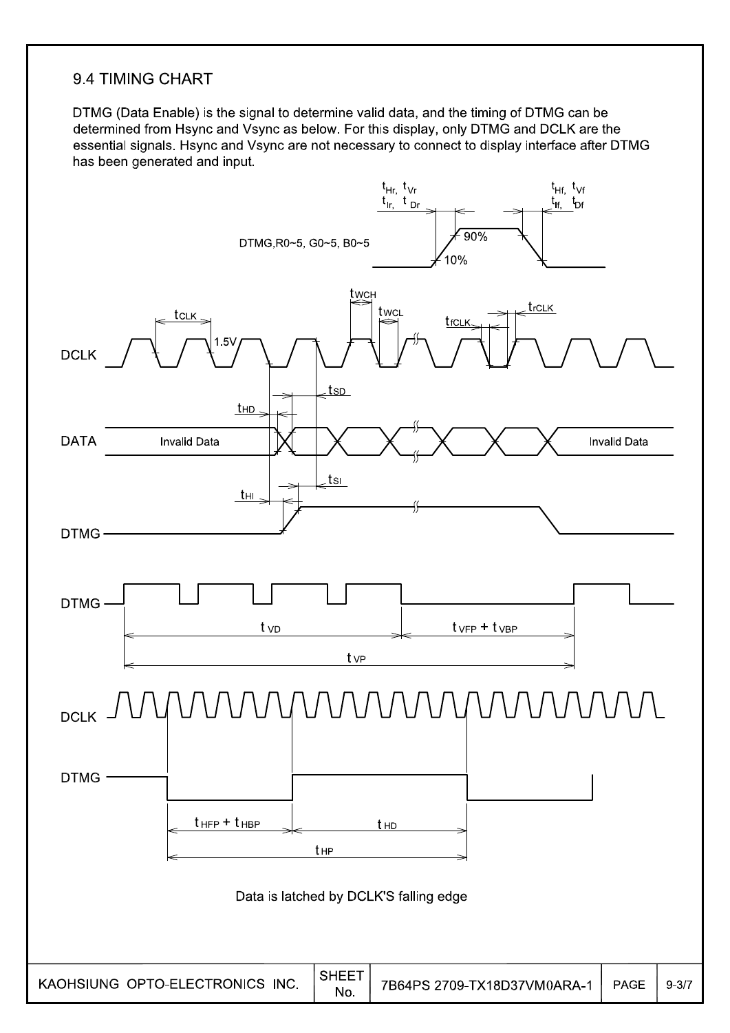#### 9.4 TIMING CHART

DTMG (Data Enable) is the signal to determine valid data, and the timing of DTMG can be determined from Hsync and Vsync as below. For this display, only DTMG and DCLK are the essential signals. Hsync and Vsync are not necessary to connect to display interface after DTMG has been generated and input.

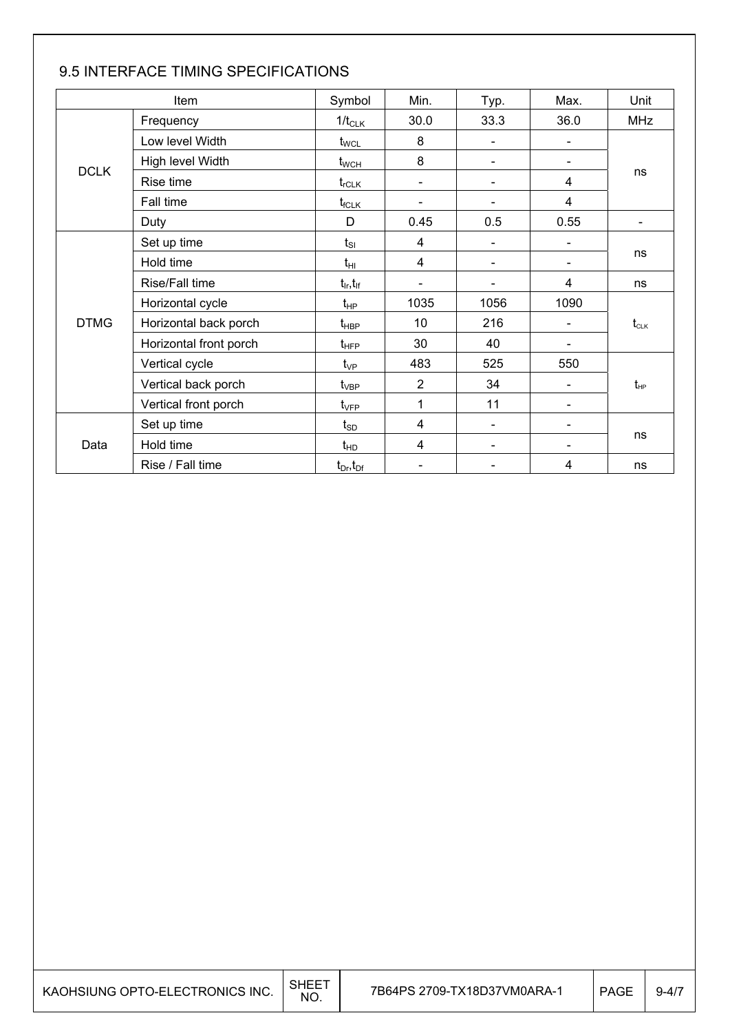|             | Item                   | Symbol                          | Min.           | Typ.                     | Max.                         | Unit                                 |  |
|-------------|------------------------|---------------------------------|----------------|--------------------------|------------------------------|--------------------------------------|--|
|             | Frequency              | $1/t_{CLK}$                     | 30.0           | 33.3                     | 36.0                         | <b>MHz</b>                           |  |
|             | Low level Width        | $t_{\scriptscriptstyle\rm WCL}$ | 8              | $\blacksquare$           |                              |                                      |  |
|             | High level Width       | $t_{\text{WCH}}$                | 8              | $\blacksquare$           |                              |                                      |  |
| <b>DCLK</b> | Rise time              | $t_{\sf rCLK}$                  | $\blacksquare$ | $\blacksquare$           | 4                            | ns                                   |  |
|             | Fall time              | $t_{fCLK}$                      | -              | $\overline{\phantom{a}}$ | 4                            |                                      |  |
|             | Duty                   | D                               | 0.45           | 0.5                      | 0.55                         | $\overline{\phantom{a}}$             |  |
|             | Set up time            | $t_{SI}$                        | 4              | $\overline{\phantom{a}}$ | $\qquad \qquad \blacksquare$ |                                      |  |
|             | Hold time              | $t_{\text{HI}}$                 | 4              | $\overline{\phantom{a}}$ | -                            | ns                                   |  |
|             | Rise/Fall time         | $t_{\sf lr}, t_{\sf lf}$        |                |                          | 4                            | ns                                   |  |
|             | Horizontal cycle       | $t_{HP}$                        | 1035           | 1056                     | 1090                         |                                      |  |
| <b>DTMG</b> | Horizontal back porch  | $t_{\sf HBP}$                   | 10             | 216                      |                              | $t_{\scriptscriptstyle{\text{CLK}}}$ |  |
|             | Horizontal front porch | $t_{\text{HFP}}$                | 30             | 40                       |                              |                                      |  |
|             | Vertical cycle         | $t_{\vee P}$                    | 483            | 525                      | 550                          |                                      |  |
|             | Vertical back porch    | $t_{\rm VBP}$                   | $\overline{2}$ | 34                       | -                            | $t_{\scriptscriptstyle\rm HP}$       |  |
|             | Vertical front porch   | $t_{\rm VFP}$                   | 1              | 11                       | -                            |                                      |  |
|             | Set up time            | $t_{SD}$                        | 4              | $\blacksquare$           | -                            |                                      |  |
| Data        | Hold time              | $t_{HD}$                        | 4              | $\overline{\phantom{0}}$ |                              | ns                                   |  |
|             | Rise / Fall time       | $t_{Dr}$ , $t_{Dr}$             |                |                          | 4                            | ns                                   |  |

### 9.5 INTERFACE TIMING SPECIFICATIONS

| KAOHSIUNG OPTO-ELECTRONICS INC. | SHEE<br>NO. | 7B64PS 2709-TX18D37VM0ARA-1 | <b>PAGE</b> | $9 - 4/7$ |
|---------------------------------|-------------|-----------------------------|-------------|-----------|
|---------------------------------|-------------|-----------------------------|-------------|-----------|

т

٦

T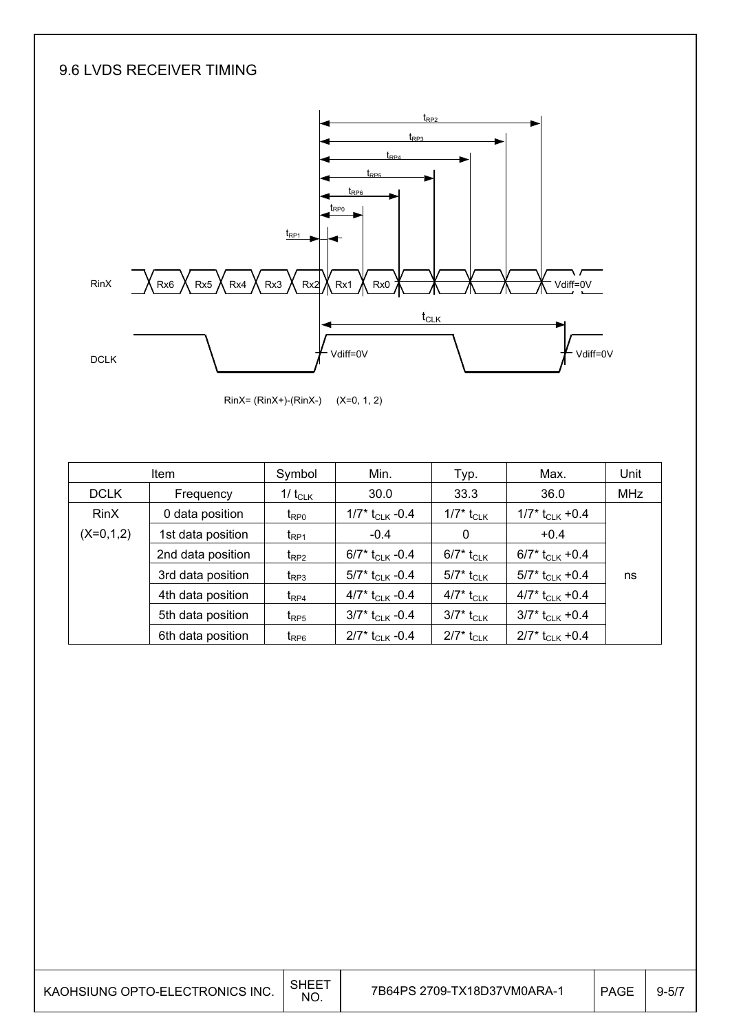### 9.6 LVDS RECEIVER TIMING



RinX= (RinX+)-(RinX-) (X=0, 1, 2)

|             | <b>Item</b>       | Symbol             | Min.                          | Typ.                     | Max.                          | Unit       |
|-------------|-------------------|--------------------|-------------------------------|--------------------------|-------------------------------|------------|
| <b>DCLK</b> | Frequency         | 1/ $t_{CLK}$       | 30.0                          | 33.3                     | 36.0                          | <b>MHz</b> |
| <b>RinX</b> | 0 data position   | $t_{\text{RPO}}$   | 1/7* $t_{CLK}$ -0.4           | 1/7* t <sub>CLK</sub>    | $1/7$ * t <sub>CLK</sub> +0.4 |            |
| $(X=0,1,2)$ | 1st data position | $t_{\mathsf{RP1}}$ | $-0.4$                        | $\mathbf 0$              | $+0.4$                        |            |
|             | 2nd data position | $t_{RP2}$          | 6/7* t <sub>CLK</sub> -0.4    | 6/7* t <sub>CLK</sub>    | 6/7* $t_{CLK}$ +0.4           |            |
|             | 3rd data position | $t_{RP3}$          | 5/7* t <sub>CLK</sub> -0.4    | $5/7^*$ t <sub>CLK</sub> | 5/7* t <sub>CLK</sub> +0.4    | ns         |
|             | 4th data position | $t_{\text{RP4}}$   | 4/7* $t_{CLK}$ -0.4           | 4/7* t <sub>CLK</sub>    | 4/7* $t_{CLK}$ +0.4           |            |
|             | 5th data position | $t_{RP5}$          | $3/7^*$ t <sub>CLK</sub> -0.4 | $3/7^*$ t <sub>CLK</sub> | $3/7$ * t <sub>CLK</sub> +0.4 |            |
|             | 6th data position | $t_{RP6}$          | $2/7$ * t <sub>CLK</sub> -0.4 | $2/7^*$ t <sub>CLK</sub> | $2/7$ * t <sub>CLK</sub> +0.4 |            |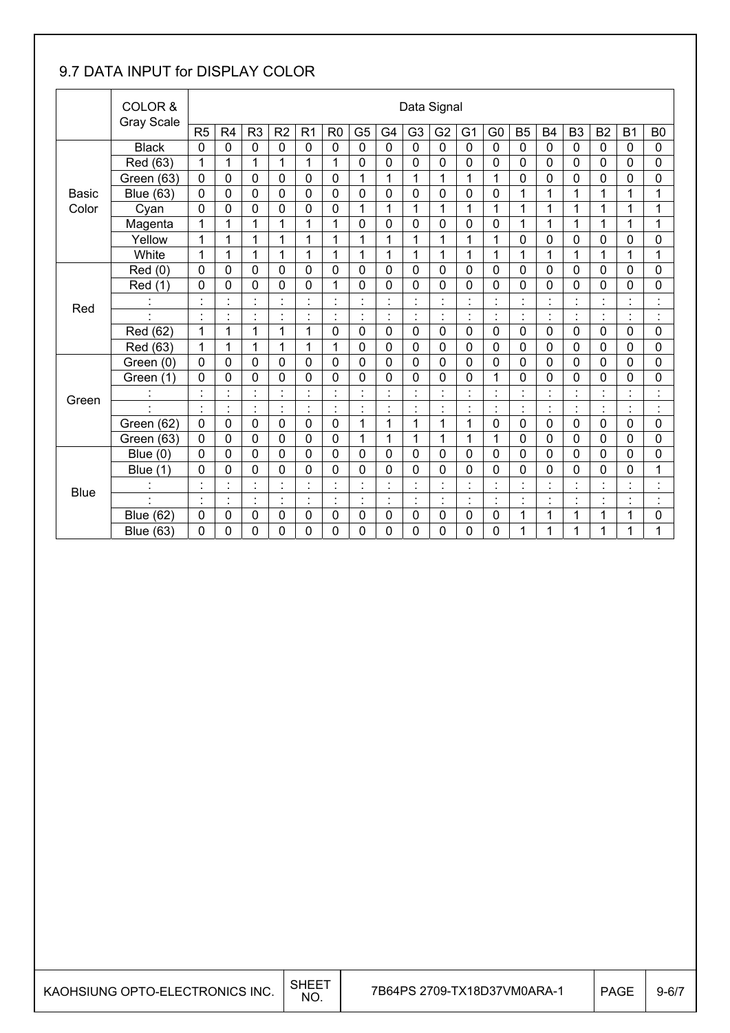### 9.7 DATA INPUT for DISPLAY COLOR

|              | COLOR &<br><b>Gray Scale</b> |                                     | Data Signal               |                                |                    |                      |                |                    |                                  |                                            |                           |                           |                                  |                                  |                |                |                                  |                     |                      |
|--------------|------------------------------|-------------------------------------|---------------------------|--------------------------------|--------------------|----------------------|----------------|--------------------|----------------------------------|--------------------------------------------|---------------------------|---------------------------|----------------------------------|----------------------------------|----------------|----------------|----------------------------------|---------------------|----------------------|
|              |                              | R <sub>5</sub>                      | R <sub>4</sub>            | R <sub>3</sub>                 | R <sub>2</sub>     | R <sub>1</sub>       | R <sub>0</sub> | G <sub>5</sub>     | G <sub>4</sub>                   | G <sub>3</sub>                             | G <sub>2</sub>            | G <sub>1</sub>            | G <sub>0</sub>                   | <b>B5</b>                        | <b>B4</b>      | B <sub>3</sub> | B <sub>2</sub>                   | <b>B1</b>           | B <sub>0</sub>       |
|              | <b>Black</b>                 | $\mathbf 0$                         | $\mathbf 0$               | 0                              | $\mathbf 0$        | $\mathbf 0$          | $\mathbf 0$    | $\mathbf 0$        | $\mathbf 0$                      | $\mathbf 0$                                | $\mathbf 0$               | $\mathbf 0$               | 0                                | $\mathbf 0$                      | $\mathbf 0$    | $\mathbf 0$    | $\mathbf 0$                      | $\mathbf 0$         | 0                    |
|              | Red (63)                     | 1                                   | 1                         | 1                              | 1                  | 1                    | 1              | $\mathbf 0$        | 0                                | 0                                          | $\mathbf 0$               | $\mathbf 0$               | 0                                | 0                                | $\mathbf 0$    | $\mathbf 0$    | $\mathbf 0$                      | $\mathbf 0$         | 0                    |
|              | Green (63)                   | 0                                   | 0                         | 0                              | $\mathbf 0$        | $\mathbf 0$          | $\mathbf 0$    | 1                  | 1                                | 1                                          | 1                         | 1                         | 1                                | 0                                | $\mathbf 0$    | $\mathbf 0$    | 0                                | 0                   | 0                    |
| <b>Basic</b> | <b>Blue (63)</b>             | $\mathbf 0$                         | 0                         | 0                              | $\mathbf 0$        | $\mathbf 0$          | 0              | 0                  | 0                                | 0                                          | $\mathbf 0$               | $\mathbf 0$               | 0                                | 1                                | 1              | 1              | 1                                | 1                   | 1                    |
| Color        | Cyan                         | 0                                   | 0                         | 0                              | $\mathbf 0$        | $\mathbf 0$          | 0              | 1                  | 1                                | 1                                          | 1                         | 1                         | 1                                | 1                                | 1              | 1              | 1                                | 1                   | 1                    |
|              | Magenta                      | 1                                   | 1                         | 1                              | 1                  | 1                    | 1              | 0                  | $\mathbf 0$                      | $\overline{0}$                             | $\mathbf 0$               | $\mathbf 0$               | 0                                | 1                                | 1              | 1              | 1                                | 1                   | 1                    |
|              | Yellow                       | 1                                   | $\mathbf{1}$              | 1                              | 1                  | 1                    | 1              | 1                  | 1                                | 1                                          | 1                         | 1                         | 1                                | 0                                | 0              | 0              | 0                                | 0                   | 0                    |
|              | White                        | 1                                   | 1                         | 1                              | 1                  | 1                    | 1              | 1                  | 1                                | 1                                          | 1                         | 1                         | 1                                | 1                                | 1              | 1              | 1                                | $\overline{1}$      | $\mathbf{1}$         |
|              | Red(0)                       | $\mathbf 0$                         | 0                         | 0                              | $\mathbf 0$        | $\mathbf 0$          | $\mathbf 0$    | $\mathbf 0$        | 0                                | 0                                          | $\mathbf 0$               | 0                         | 0                                | 0                                | $\mathbf 0$    | $\mathbf 0$    | 0                                | 0                   | 0                    |
|              | Red (1)                      | 0                                   | 0                         | 0                              | $\mathbf 0$        | $\overline{0}$       | $\overline{1}$ | 0                  | $\overline{0}$                   | 0                                          | $\mathbf 0$               | 0                         | 0                                | 0                                | $\mathbf 0$    | $\overline{0}$ | 0                                | $\overline{0}$      | 0                    |
| Red          |                              | $\cdot$<br>$\overline{\phantom{a}}$ | $\blacksquare$            | $\blacksquare$<br>$\mathbf{r}$ |                    |                      |                | $\cdot$            | $\blacksquare$<br>$\blacksquare$ |                                            |                           | $\cdot$                   | $\blacksquare$<br>٠              | $\blacksquare$<br>$\blacksquare$ |                |                | $\blacksquare$                   |                     | ٠<br>×               |
|              |                              | $\blacksquare$<br>٠                 | $\ddot{\phantom{0}}$<br>٠ | $\blacksquare$<br>$\bullet$    | $\cdot$<br>٠       | $\cdot$<br>$\bullet$ | $\blacksquare$ | $\cdot$<br>$\cdot$ | $\ddot{\phantom{0}}$<br>٠        | $\blacksquare$<br>ä,                       | $\cdot$                   | $\blacksquare$<br>٠       | $\blacksquare$<br>$\blacksquare$ | $\blacksquare$<br>$\bullet$      | $\blacksquare$ | $\cdot$        | $\blacksquare$<br>٠              | $\blacksquare$<br>٠ | $\blacksquare$<br>ä, |
|              | Red (62)                     | 1                                   | 1                         | 1                              | 1                  | 1                    | $\mathbf 0$    | $\mathbf 0$        | 0                                | 0                                          | $\mathbf 0$               | $\mathbf 0$               | 0                                | 0                                | $\mathbf 0$    | $\mathbf 0$    | $\mathbf 0$                      | $\mathbf 0$         | 0                    |
|              | Red (63)                     | 1                                   | 1                         | 1                              | 1                  | 1                    | 1              | 0                  | 0                                | 0                                          | $\mathbf 0$               | $\mathbf 0$               | 0                                | 0                                | $\mathbf 0$    | $\mathbf{0}$   | 0                                | $\mathbf 0$         | 0                    |
|              | Green (0)                    | $\mathbf 0$                         | $\mathbf 0$               | 0                              | $\mathbf 0$        | $\mathbf 0$          | $\mathbf 0$    | 0                  | 0                                | 0                                          | $\mathbf 0$               | $\mathbf 0$               | 0                                | 0                                | $\mathbf 0$    | $\mathbf 0$    | $\mathbf 0$                      | $\mathbf 0$         | 0                    |
|              | Green (1)                    | 0                                   | 0                         | 0                              | $\mathbf 0$        | $\mathbf 0$          | 0              | 0                  | 0                                | 0                                          | 0                         | 0                         | 1                                | 0                                | 0              | 0              | 0                                | 0                   | 0                    |
| Green        |                              | $\cdot$                             | $\blacksquare$            | $\blacksquare$                 | $\cdot$            | $\cdot$              |                | $\cdot$            | $\blacksquare$                   |                                            | $\cdot$                   |                           | $\blacksquare$<br>ä,             | $\blacksquare$                   |                | $\cdot$        | $\cdot$                          | $\cdot$             | ٠                    |
|              |                              | $\cdot$                             |                           | $\blacksquare$<br>$\bullet$    | $\cdot$            |                      |                |                    | $\ddot{\phantom{0}}$<br>$\cdot$  |                                            |                           |                           | $\blacksquare$<br>×,             | $\cdot$<br>$\blacksquare$        |                |                | $\cdot$                          | $\blacksquare$      | $\cdot$              |
|              | Green (62)                   | $\mathbf 0$                         | $\mathbf 0$               | $\overline{0}$                 | $\mathbf 0$        | $\mathbf 0$          | $\mathbf 0$    | 1                  | $\overline{1}$                   | 1                                          | 1                         | $\mathbf 1$               | 0                                | $\mathbf 0$                      | $\mathbf 0$    | $\overline{0}$ | 0                                | $\mathbf 0$         | 0                    |
|              | Green (63)                   | 0                                   | 0                         | 0                              | $\mathbf{0}$       | $\mathbf 0$          | $\mathbf 0$    | 1                  | 1                                | 1                                          | 1                         | 1                         | 1                                | 0                                | $\mathbf 0$    | $\mathbf 0$    | 0                                | 0                   | 0                    |
|              | Blue $(0)$                   | $\Omega$                            | $\overline{0}$            | 0                              | $\mathbf{0}$       | $\mathbf 0$          | $\overline{0}$ | 0                  | $\mathbf 0$                      | 0                                          | $\mathbf 0$               | $\mathbf 0$               | 0                                | 0                                | $\overline{0}$ | $\overline{0}$ | 0                                | $\overline{0}$      | 0                    |
|              | Blue $(1)$                   | 0                                   | 0                         | 0                              | $\mathbf 0$        | $\mathbf 0$          | $\mathbf 0$    | 0                  | $\mathbf 0$                      | 0                                          | 0                         | 0                         | 0                                | 0                                | $\mathbf 0$    | $\mathbf 0$    | 0                                | 0                   | 1                    |
| <b>Blue</b>  |                              |                                     | $\cdot$                   | $\blacksquare$<br>$\bullet$    |                    |                      |                | $\cdot$            | $\cdot$<br>٠                     |                                            |                           | $\cdot$                   | $\blacksquare$<br>٠              | $\cdot$                          |                |                | $\cdot$                          |                     | ٠<br>٠               |
|              | $\cdot$                      | $\cdot$<br>٠                        | $\blacksquare$<br>٠       | $\blacksquare$<br>$\bullet$    | $\cdot$<br>$\cdot$ | $\ddot{\cdot}$       | $\blacksquare$ | $\cdot$<br>٠       | $\blacksquare$<br>$\cdot$        | $\blacksquare$<br>$\overline{\phantom{a}}$ | $\cdot$<br>$\blacksquare$ | $\blacksquare$<br>$\cdot$ | $\blacksquare$<br>$\bullet$      | $\cdot$<br>$\blacksquare$        | $\blacksquare$ | $\cdot$        | $\blacksquare$<br>$\blacksquare$ | $\blacksquare$<br>٠ | $\cdot$<br>$\cdot$   |
|              | <b>Blue (62)</b>             | $\mathbf 0$                         | 0                         | 0                              | $\mathbf 0$        | $\pmb{0}$            | $\mathbf 0$    | 0                  | 0                                | 0                                          | $\mathbf 0$               | $\mathbf 0$               | 0                                | 1                                | 1              | 1              | 1                                | 1                   | 0                    |
|              | <b>Blue (63)</b>             | 0                                   | 0                         | 0                              | 0                  | 0                    | 0              | 0                  | 0                                | 0                                          | 0                         | 0                         | 0                                | 1                                | 1              | 1              | 1                                | 1                   | 1                    |

| KAOHSIUNG OPTO-ELECTRONICS INC. | <b>SHEET</b><br>NO. | 7B64PS 2709-TX18D37VM0ARA-1 | PAGE | $9 - 6/7$ |
|---------------------------------|---------------------|-----------------------------|------|-----------|
|---------------------------------|---------------------|-----------------------------|------|-----------|

T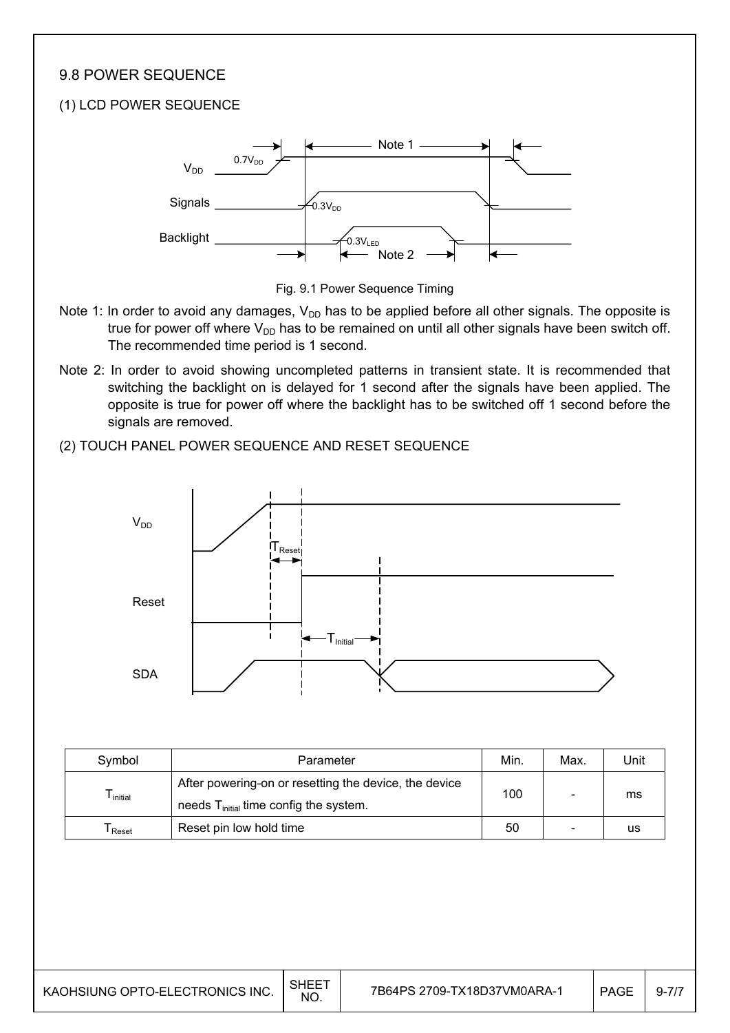#### 9.8 POWER SEQUENCE

#### (1) LCD POWER SEQUENCE





- Note 1: In order to avoid any damages,  $V_{DD}$  has to be applied before all other signals. The opposite is true for power off where  $V_{DD}$  has to be remained on until all other signals have been switch off. The recommended time period is 1 second.
- Note 2: In order to avoid showing uncompleted patterns in transient state. It is recommended that switching the backlight on is delayed for 1 second after the signals have been applied. The opposite is true for power off where the backlight has to be switched off 1 second before the signals are removed.

#### (2) TOUCH PANEL POWER SEQUENCE AND RESET SEQUENCE



| Symbol    | Parameter                                                                                         | Min. | Max. | Unit |
|-----------|---------------------------------------------------------------------------------------------------|------|------|------|
| l initial | After powering-on or resetting the device, the device<br>needs $Tinitial$ time config the system. | 100  |      | ms   |
| Reset     | Reset pin low hold time                                                                           | 50   |      | us   |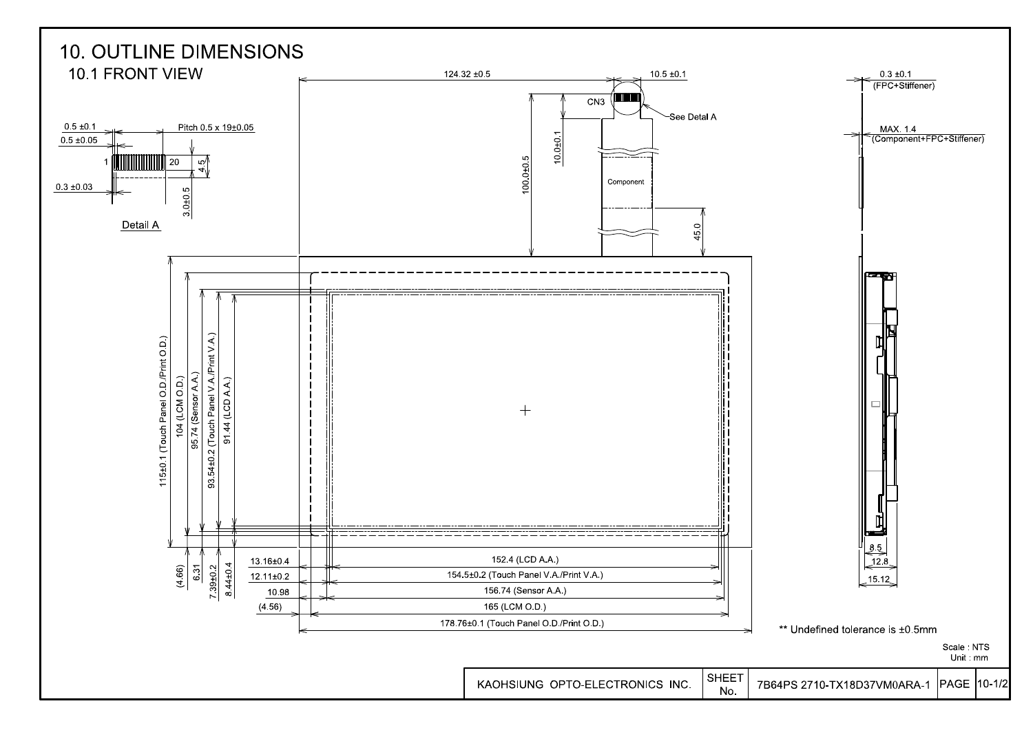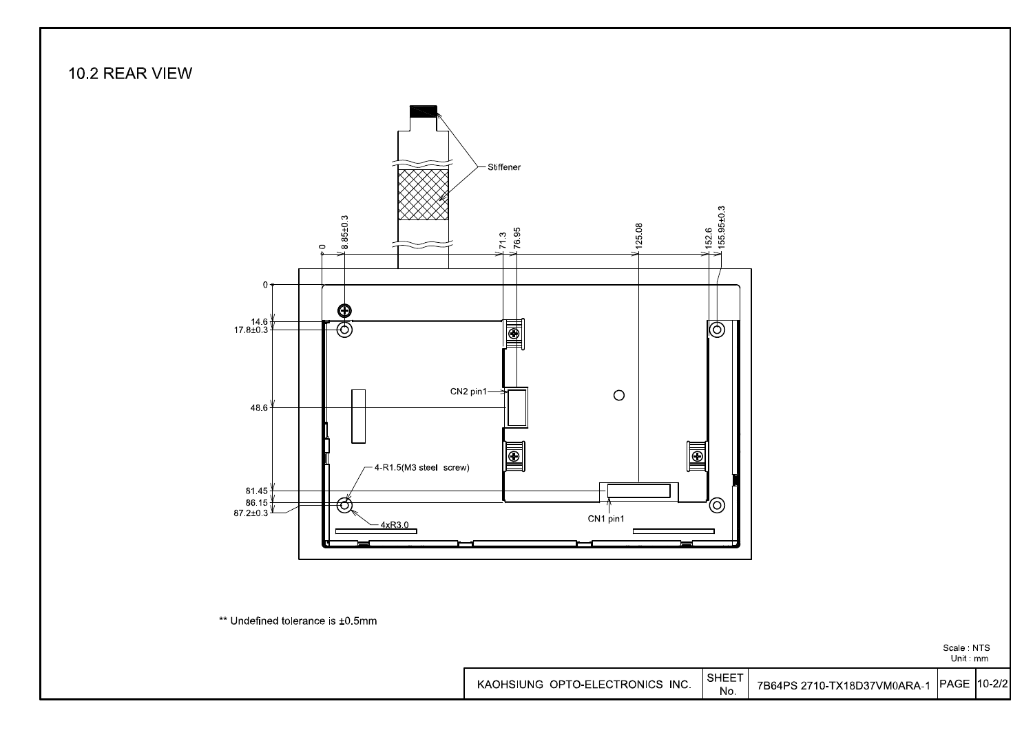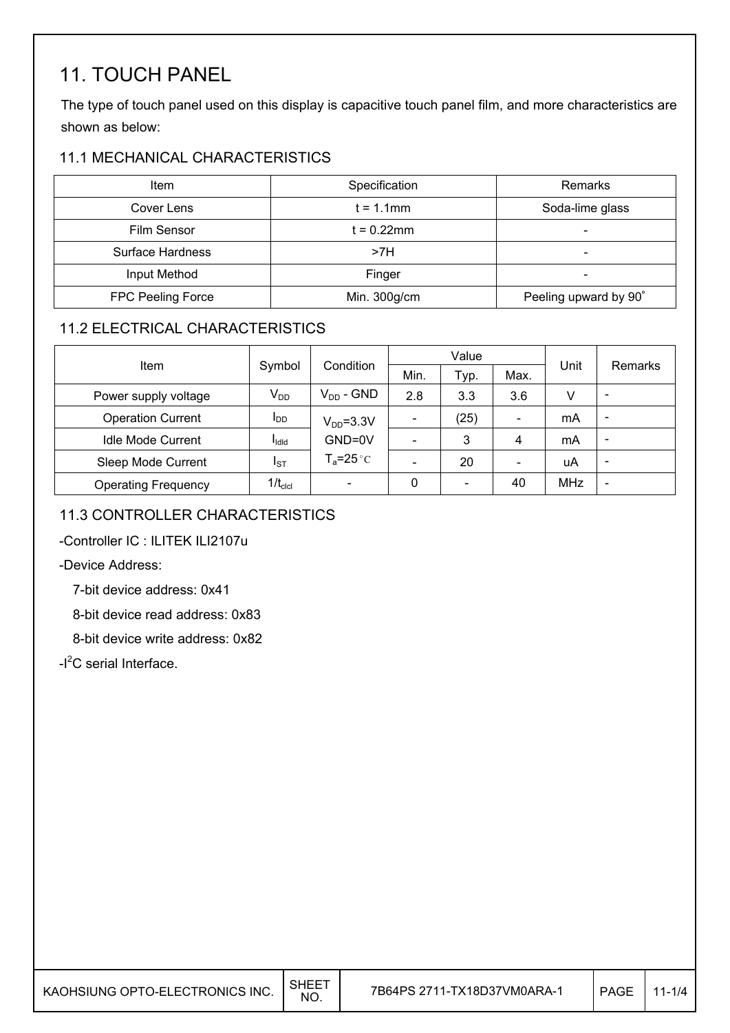## 11. TOUCH PANEL

The type of touch panel used on this display is capacitive touch panel film, and more characteristics are shown as below:

#### 11.1 MECHANICAL CHARACTERISTICS

| Item                    | Specification | Remarks               |
|-------------------------|---------------|-----------------------|
| Cover Lens              | $t = 1.1$ mm  | Soda-lime glass       |
| Film Sensor             | $t = 0.22$ mm | -                     |
| <b>Surface Hardness</b> | >7H           |                       |
| Input Method            | Finger        | -                     |
| FPC Peeling Force       | Min. 300g/cm  | Peeling upward by 90° |

#### 11.2 ELECTRICAL CHARACTERISTICS

|                            |                        |                          |              | Value           |      |            |                          |  |
|----------------------------|------------------------|--------------------------|--------------|-----------------|------|------------|--------------------------|--|
| <b>Item</b>                | Symbol                 | Condition                | Min.<br>Typ. |                 | Max. | Unit       | <b>Remarks</b>           |  |
| Power supply voltage       | $V_{DD}$               | $V_{DD}$ - GND           | 2.8          | 3.3             | 3.6  | V          | $\overline{\phantom{a}}$ |  |
| <b>Operation Current</b>   | <b>I</b> <sub>DD</sub> | $V_{DD} = 3.3V$          |              | (25)            |      | mA         | $\overline{\phantom{a}}$ |  |
| <b>Idle Mode Current</b>   | <b>I</b> ldld          | GND=0V                   |              | 3               | 4    | mA         | $\overline{\phantom{a}}$ |  |
| Sleep Mode Current         | Isт                    | $T_a = 25^{\circ}C$      |              | 20              |      | uA         | $\overline{\phantom{a}}$ |  |
| <b>Operating Frequency</b> | $1/t_{\text{clcl}}$    | $\overline{\phantom{a}}$ | 0            | $\qquad \qquad$ | 40   | <b>MHz</b> | $\overline{\phantom{a}}$ |  |

### 11.3 CONTROLLER CHARACTERISTICS

-Controller IC : ILITEK ILI2107u

#### -Device Address:

7-bit device address: 0x41

8-bit device read address: 0x83

8-bit device write address: 0x82

-I<sup>2</sup>C serial Interface.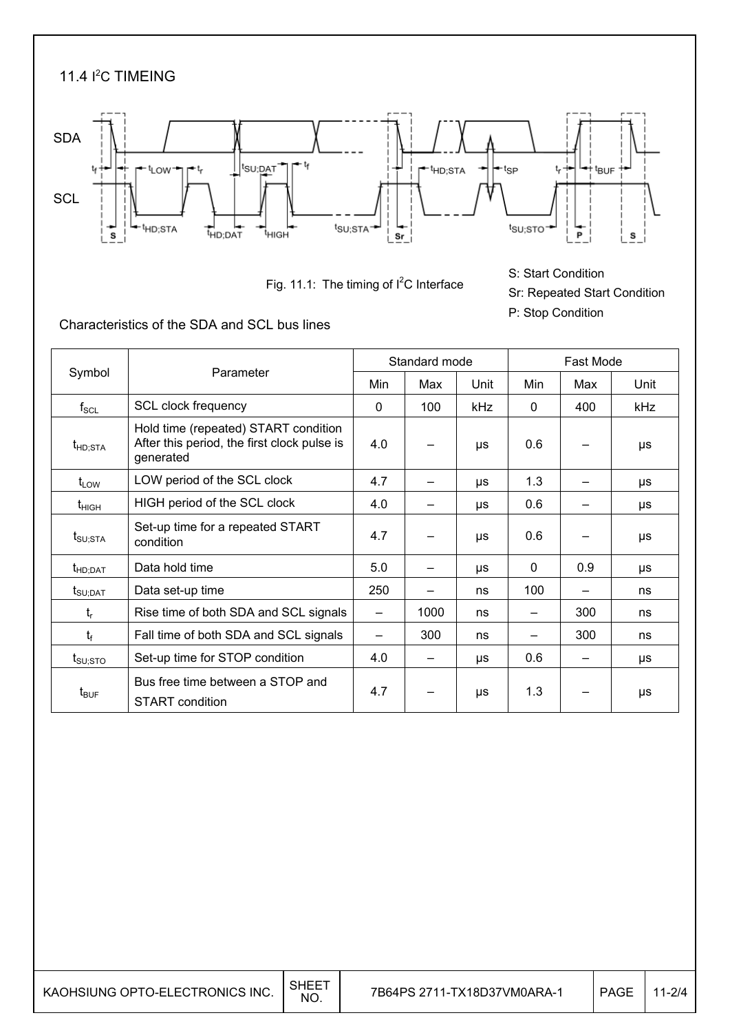

Fig. 11.1: The timing of  $I^2C$  Interface

S: Start Condition Sr: Repeated Start Condition P: Stop Condition

Characteristics of the SDA and SCL bus lines

|                                 |                                                                                                  |              | Standard mode |           |              | Fast Mode |         |
|---------------------------------|--------------------------------------------------------------------------------------------------|--------------|---------------|-----------|--------------|-----------|---------|
| Symbol                          | Parameter                                                                                        | Min          | Max           | Unit      | Min          | Max       | Unit    |
| $f_{\rm SCL}$                   | SCL clock frequency                                                                              | $\mathbf{0}$ | 100           | kHz       | $\mathbf{0}$ | 400       | kHz     |
| t <sub>HD;STA</sub>             | Hold time (repeated) START condition<br>After this period, the first clock pulse is<br>generated | 4.0          |               | μs        | 0.6          |           | μs      |
| $t_{LOW}$                       | LOW period of the SCL clock                                                                      | 4.7          |               | μs        | 1.3          |           | μs      |
| $t_{\text{HIGH}}$               | HIGH period of the SCL clock                                                                     | 4.0          |               | <b>US</b> | 0.6          |           | μs      |
| $t_{\text{SU;STA}}$             | Set-up time for a repeated START<br>condition                                                    | 4.7          |               | μs        | 0.6          |           | μs      |
| $t_{HD;DAT}$                    | Data hold time                                                                                   | 5.0          |               | μs        | $\Omega$     | 0.9       | μs      |
| $t_{\scriptstyle\text{SU;DAT}}$ | Data set-up time                                                                                 | 250          |               | ns        | 100          |           | ns      |
| t,                              | Rise time of both SDA and SCL signals                                                            | —            | 1000          | ns        | —            | 300       | ns      |
| $t_{\rm f}$                     | Fall time of both SDA and SCL signals                                                            |              | 300           | ns        |              | 300       | ns      |
| $t_{\scriptstyle\text{SU:STO}}$ | Set-up time for STOP condition                                                                   | 4.0          |               | μs        | 0.6          |           | μs      |
| $t_{\text{BUF}}$                | Bus free time between a STOP and<br><b>START</b> condition                                       | 4.7          |               | μs        | 1.3          |           | $\mu s$ |

7B64PS 2711-TX18D37VM0ARA-1 | PAGE 11-2/4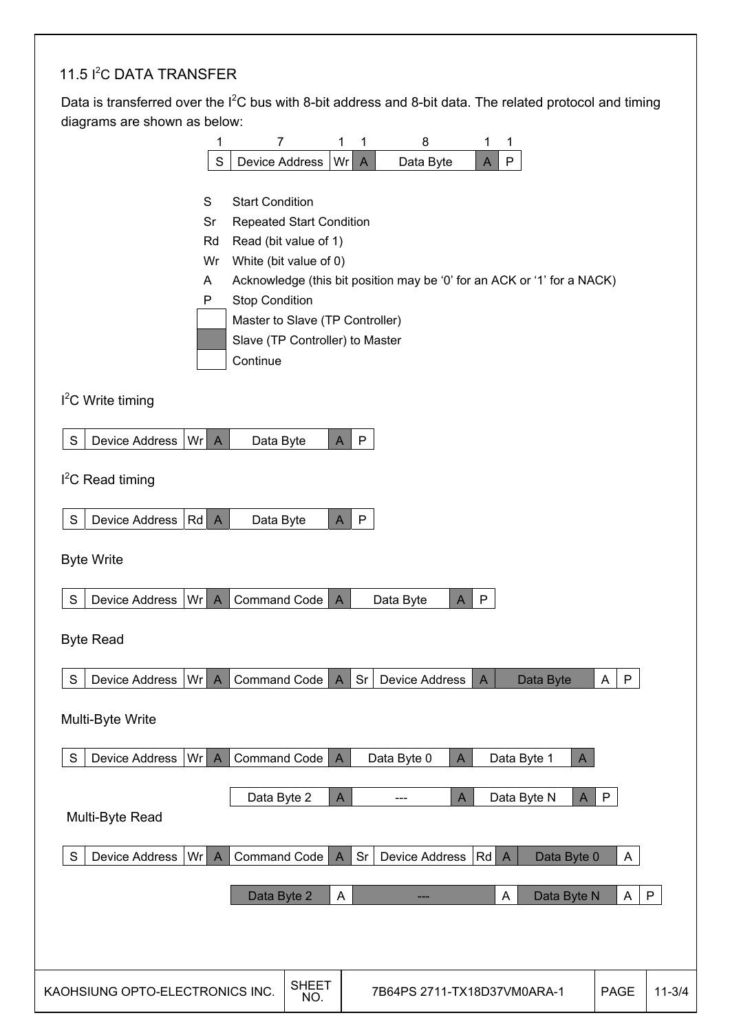#### 11.5 I<sup>2</sup>C DATA TRANSFER

 $\overline{\phantom{a}}$ 

Data is transferred over the  $I^2C$  bus with 8-bit address and 8-bit data. The related protocol and timing diagrams are shown as below:

|                                                                                 | 1                     | 7                               |                     | 1            | 1            | 8                                                                       |   | 1            | 1            |              |              |              |
|---------------------------------------------------------------------------------|-----------------------|---------------------------------|---------------------|--------------|--------------|-------------------------------------------------------------------------|---|--------------|--------------|--------------|--------------|--------------|
|                                                                                 | $\mathbf S$           | <b>Device Address</b>           |                     | Wr           | A            | Data Byte                                                               |   | A            | P            |              |              |              |
|                                                                                 |                       |                                 |                     |              |              |                                                                         |   |              |              |              |              |              |
|                                                                                 | S                     | <b>Start Condition</b>          |                     |              |              |                                                                         |   |              |              |              |              |              |
|                                                                                 | Sr                    | <b>Repeated Start Condition</b> |                     |              |              |                                                                         |   |              |              |              |              |              |
|                                                                                 | Rd                    | Read (bit value of 1)           |                     |              |              |                                                                         |   |              |              |              |              |              |
|                                                                                 | Wr                    | White (bit value of 0)          |                     |              |              |                                                                         |   |              |              |              |              |              |
|                                                                                 | Α<br>P                | <b>Stop Condition</b>           |                     |              |              | Acknowledge (this bit position may be '0' for an ACK or '1' for a NACK) |   |              |              |              |              |              |
|                                                                                 |                       | Master to Slave (TP Controller) |                     |              |              |                                                                         |   |              |              |              |              |              |
|                                                                                 |                       | Slave (TP Controller) to Master |                     |              |              |                                                                         |   |              |              |              |              |              |
|                                                                                 |                       | Continue                        |                     |              |              |                                                                         |   |              |              |              |              |              |
|                                                                                 |                       |                                 |                     |              |              |                                                                         |   |              |              |              |              |              |
| $I2C$ Write timing                                                              |                       |                                 |                     |              |              |                                                                         |   |              |              |              |              |              |
|                                                                                 |                       |                                 |                     |              |              |                                                                         |   |              |              |              |              |              |
| S<br>Device Address                                                             | Wr A                  | Data Byte                       |                     | $\mathsf{A}$ | $\mathsf{P}$ |                                                                         |   |              |              |              |              |              |
|                                                                                 |                       |                                 |                     |              |              |                                                                         |   |              |              |              |              |              |
| $I2C$ Read timing                                                               |                       |                                 |                     |              |              |                                                                         |   |              |              |              |              |              |
| S                                                                               |                       |                                 |                     |              |              |                                                                         |   |              |              |              |              |              |
| Device Address                                                                  | $Rd$ A                | Data Byte                       |                     | $\mathsf{A}$ | $\mathsf{P}$ |                                                                         |   |              |              |              |              |              |
| <b>Byte Write</b>                                                               |                       |                                 |                     |              |              |                                                                         |   |              |              |              |              |              |
|                                                                                 |                       |                                 |                     |              |              |                                                                         |   |              |              |              |              |              |
| $\mathsf S$<br>Device Address                                                   | Wr<br>$\overline{A}$  | Command Code                    |                     | $\mathsf{A}$ |              | Data Byte                                                               | A | P            |              |              |              |              |
|                                                                                 |                       |                                 |                     |              |              |                                                                         |   |              |              |              |              |              |
| <b>Byte Read</b>                                                                |                       |                                 |                     |              |              |                                                                         |   |              |              |              |              |              |
|                                                                                 |                       |                                 |                     |              |              |                                                                         |   |              |              |              |              |              |
| $\mathbf S$<br>Device Address   Wr   A   Command Code   A   Sr   Device Address |                       |                                 |                     |              |              |                                                                         |   | $\mathsf{A}$ |              | Data Byte    | $A \mid P$   |              |
|                                                                                 |                       |                                 |                     |              |              |                                                                         |   |              |              |              |              |              |
| Multi-Byte Write                                                                |                       |                                 |                     |              |              |                                                                         |   |              |              |              |              |              |
| S<br><b>Device Address</b>                                                      | Wrl<br>$\overline{A}$ | Command Code                    |                     | $\mathsf{A}$ |              | Data Byte 0                                                             | A |              | Data Byte 1  | $\mathsf{A}$ |              |              |
|                                                                                 |                       |                                 |                     |              |              |                                                                         |   |              |              |              |              |              |
|                                                                                 |                       | Data Byte 2                     |                     | A            |              | ---                                                                     | A |              | Data Byte N  | $\mathsf{A}$ | P            |              |
| Multi-Byte Read                                                                 |                       |                                 |                     |              |              |                                                                         |   |              |              |              |              |              |
|                                                                                 |                       |                                 |                     |              |              |                                                                         |   |              |              |              |              |              |
| <b>Device Address</b><br>S                                                      | Wr<br>$\overline{A}$  | <b>Command Code</b>             |                     | $\mathsf{A}$ | Sr           | <b>Device Address</b>                                                   |   | Rd           | $\mathsf{A}$ | Data Byte 0  | $\mathsf{A}$ |              |
|                                                                                 |                       |                                 |                     |              |              |                                                                         |   |              |              |              |              |              |
|                                                                                 |                       | Data Byte 2                     |                     | A            |              |                                                                         |   |              | A            | Data Byte N  | A            | $\mathsf{P}$ |
|                                                                                 |                       |                                 |                     |              |              |                                                                         |   |              |              |              |              |              |
|                                                                                 |                       |                                 |                     |              |              |                                                                         |   |              |              |              |              |              |
|                                                                                 |                       |                                 |                     |              |              |                                                                         |   |              |              |              |              |              |
| KAOHSIUNG OPTO-ELECTRONICS INC.                                                 |                       |                                 | <b>SHEET</b><br>NO. |              |              | 7B64PS 2711-TX18D37VM0ARA-1                                             |   |              |              |              | PAGE         | $11 - 3/4$   |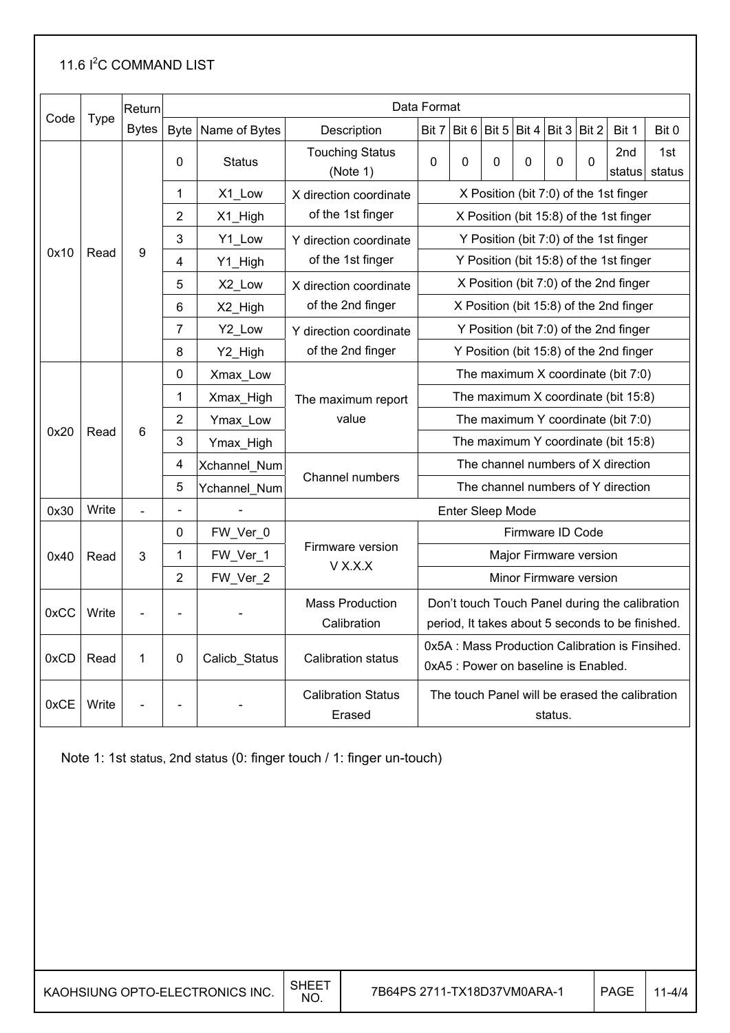#### 11.6 <sup>2</sup>C COMMAND LIST

|      |             | Return       |                |               |                                       | Data Format                                                                                        |                                         |       |                  |                      |                        |                                         |               |  |
|------|-------------|--------------|----------------|---------------|---------------------------------------|----------------------------------------------------------------------------------------------------|-----------------------------------------|-------|------------------|----------------------|------------------------|-----------------------------------------|---------------|--|
| Code | <b>Type</b> | <b>Bytes</b> | <b>Byte</b>    | Name of Bytes | Description                           | Bit 7                                                                                              | Bit 6                                   | Bit 5 |                  | Bit $4 Bit 3  Bit 2$ |                        | Bit 1                                   | Bit 0         |  |
|      |             |              | 0              | <b>Status</b> | <b>Touching Status</b><br>(Note 1)    | 0                                                                                                  | 0                                       | 0     | 0                | 0                    | $\overline{0}$         | 2nd<br>status                           | 1st<br>status |  |
|      |             |              | 1              | X1 Low        | X direction coordinate                | X Position (bit 7:0) of the 1st finger                                                             |                                         |       |                  |                      |                        |                                         |               |  |
|      |             |              | $\overline{2}$ | X1_High       | of the 1st finger                     |                                                                                                    |                                         |       |                  |                      |                        | X Position (bit 15:8) of the 1st finger |               |  |
|      |             |              | 3              | Y1_Low        | Y direction coordinate                |                                                                                                    |                                         |       |                  |                      |                        | Y Position (bit 7:0) of the 1st finger  |               |  |
| 0x10 | Read        | 9            | 4              | Y1_High       | of the 1st finger                     |                                                                                                    |                                         |       |                  |                      |                        | Y Position (bit 15:8) of the 1st finger |               |  |
|      |             |              | 5              | X2_Low        | X direction coordinate                |                                                                                                    |                                         |       |                  |                      |                        | X Position (bit 7:0) of the 2nd finger  |               |  |
|      |             |              | 6              | X2_High       | of the 2nd finger                     |                                                                                                    |                                         |       |                  |                      |                        | X Position (bit 15:8) of the 2nd finger |               |  |
|      |             |              | 7              | Y2_Low        | Y direction coordinate                |                                                                                                    |                                         |       |                  |                      |                        | Y Position (bit 7:0) of the 2nd finger  |               |  |
|      |             |              | 8              | Y2_High       | of the 2nd finger                     |                                                                                                    | Y Position (bit 15:8) of the 2nd finger |       |                  |                      |                        |                                         |               |  |
|      |             |              | 0              | Xmax Low      |                                       | The maximum X coordinate (bit 7:0)                                                                 |                                         |       |                  |                      |                        |                                         |               |  |
|      |             |              | 1              | Xmax_High     | The maximum report                    | The maximum X coordinate (bit 15:8)                                                                |                                         |       |                  |                      |                        |                                         |               |  |
|      |             | 6            | 2              | Ymax_Low      | value                                 | The maximum Y coordinate (bit 7:0)                                                                 |                                         |       |                  |                      |                        |                                         |               |  |
| 0x20 | Read        |              | 3              | Ymax_High     |                                       | The maximum Y coordinate (bit 15:8)                                                                |                                         |       |                  |                      |                        |                                         |               |  |
|      |             |              | 4              | Xchannel_Num  |                                       | The channel numbers of X direction                                                                 |                                         |       |                  |                      |                        |                                         |               |  |
|      |             |              | 5              | Ychannel_Num  | Channel numbers                       | The channel numbers of Y direction                                                                 |                                         |       |                  |                      |                        |                                         |               |  |
| 0x30 | Write       |              | $\sim$         |               |                                       | Enter Sleep Mode                                                                                   |                                         |       |                  |                      |                        |                                         |               |  |
|      |             |              | 0              | FW_Ver_0      |                                       |                                                                                                    |                                         |       | Firmware ID Code |                      |                        |                                         |               |  |
| 0x40 | Read        | 3            | 1              | FW_Ver_1      | Firmware version<br>V X.X.X           |                                                                                                    |                                         |       |                  |                      | Major Firmware version |                                         |               |  |
|      |             |              | 2              | FW_Ver_2      |                                       |                                                                                                    |                                         |       |                  |                      | Minor Firmware version |                                         |               |  |
| 0xCC | Write       |              | ÷              |               | <b>Mass Production</b><br>Calibration | Don't touch Touch Panel during the calibration<br>period, It takes about 5 seconds to be finished. |                                         |       |                  |                      |                        |                                         |               |  |
| 0xCD | Read        | 1            | 0              | Calicb_Status | <b>Calibration status</b>             | 0x5A : Mass Production Calibration is Finsihed.<br>0xA5 : Power on baseline is Enabled.            |                                         |       |                  |                      |                        |                                         |               |  |
| 0xCE | Write       |              |                |               | <b>Calibration Status</b><br>Erased   | The touch Panel will be erased the calibration<br>status.                                          |                                         |       |                  |                      |                        |                                         |               |  |

Note 1: 1st status, 2nd status (0: finger touch / 1: finger un-touch)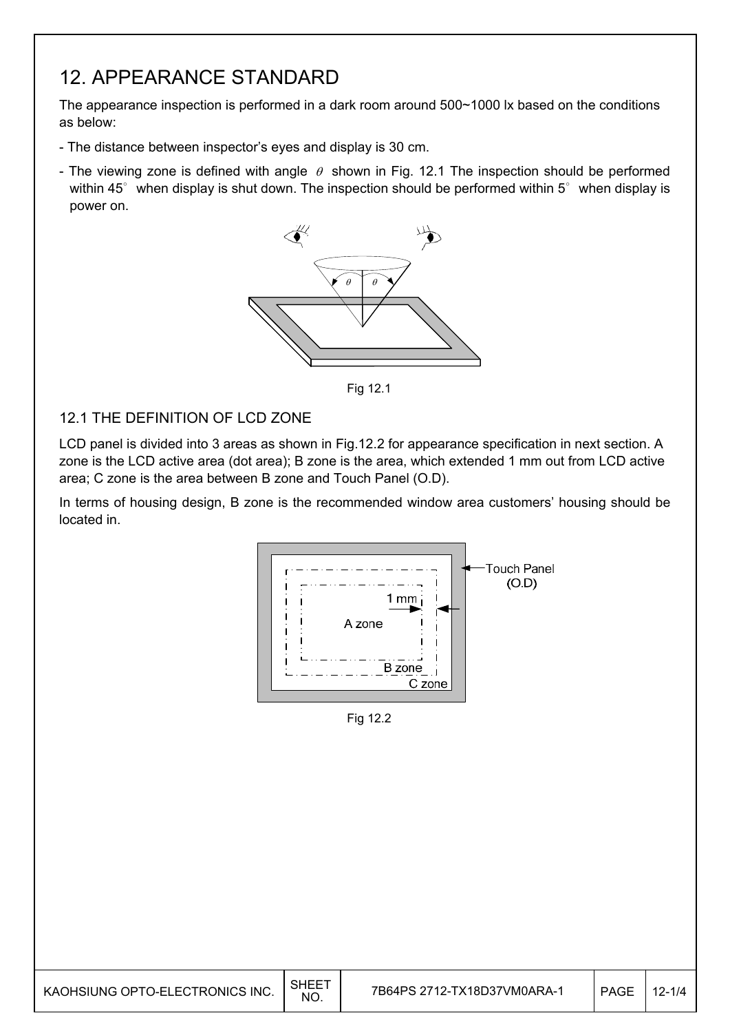## 12. APPEARANCE STANDARD

The appearance inspection is performed in a dark room around 500~1000 lx based on the conditions as below:

- The distance between inspector's eyes and display is 30 cm.
- The viewing zone is defined with angle  $\theta$  shown in Fig. 12.1 The inspection should be performed within 45 $^{\circ}$  when display is shut down. The inspection should be performed within 5 $^{\circ}$  when display is power on.



Fig. 12.1 Fig 12.1

#### 12.1 THE DEFINITION OF LCD ZONE

LCD panel is divided into 3 areas as shown in Fig.12.2 for appearance specification in next section. A zone is the LCD active area (dot area); B zone is the area, which extended 1 mm out from LCD active area; C zone is the area between B zone and Touch Panel (O.D).

In terms of housing design, B zone is the recommended window area customers' housing should be located in.



Fig 12.2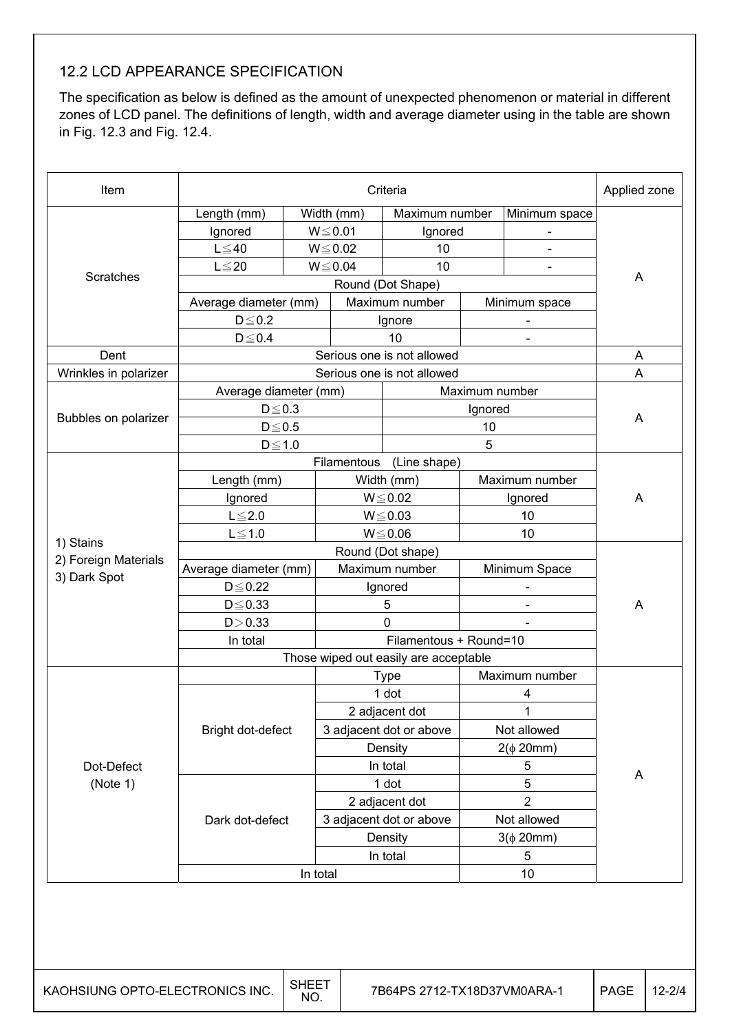#### 12.2 LCD APPEARANCE SPECIFICATION

The specification as below is defined as the amount of unexpected phenomenon or material in different zones of LCD panel. The definitions of length, width and average diameter using in the table are shown in Fig. 12.3 and Fig. 12.4.

| Item                                 |                       |          |                        | Criteria                              |                              |                | Applied zone |  |
|--------------------------------------|-----------------------|----------|------------------------|---------------------------------------|------------------------------|----------------|--------------|--|
|                                      | Length (mm)           |          | Width (mm)             | Maximum number                        |                              | Minimum space  |              |  |
|                                      | Ignored               |          | $W \le 0.01$           | Ignored                               |                              |                |              |  |
|                                      | $L \leq 40$           |          | $W \le 0.02$           | 10                                    |                              |                |              |  |
|                                      | $L \leq 20$           |          | $W \le 0.04$           | 10<br>$\overline{\phantom{a}}$        |                              |                |              |  |
| Scratches                            |                       | A        |                        |                                       |                              |                |              |  |
|                                      | Average diameter (mm) |          |                        | Round (Dot Shape)<br>Maximum number   |                              | Minimum space  |              |  |
|                                      | $D \le 0.2$           |          |                        | Ignore                                |                              |                |              |  |
|                                      | $D \le 0.4$           |          |                        | 10                                    |                              |                |              |  |
| Dent                                 |                       |          |                        | Serious one is not allowed            |                              |                | A            |  |
| Wrinkles in polarizer                |                       |          |                        | Serious one is not allowed            |                              |                | A            |  |
|                                      | Average diameter (mm) |          |                        |                                       | Maximum number               |                |              |  |
|                                      | $D \le 0.3$           |          |                        |                                       | Ignored                      |                |              |  |
| Bubbles on polarizer                 | $D \le 0.5$           |          |                        |                                       | 10                           |                | A            |  |
|                                      | $D \le 1.0$           |          |                        |                                       | 5                            |                |              |  |
|                                      |                       |          | Filamentous            | (Line shape)                          |                              |                |              |  |
|                                      | Length (mm)           |          | Width (mm)             |                                       | Maximum number               |                |              |  |
|                                      | Ignored               |          |                        | $W \le 0.02$                          | Ignored                      |                | A            |  |
|                                      | $L \leq 2.0$          |          |                        | $W \le 0.03$                          |                              | 10             |              |  |
|                                      | $L \leq 1.0$          |          |                        | $W \le 0.06$                          |                              | 10             |              |  |
| 1) Stains                            |                       |          |                        | Round (Dot shape)                     |                              |                |              |  |
| 2) Foreign Materials<br>3) Dark Spot | Average diameter (mm) |          |                        | Maximum number                        |                              | Minimum Space  |              |  |
|                                      | $D \leq 0.22$         |          |                        | Ignored                               |                              |                |              |  |
|                                      | $D \le 0.33$          |          |                        | 5                                     | $\qquad \qquad \blacksquare$ |                | A            |  |
|                                      | D > 0.33              |          |                        | 0                                     |                              |                |              |  |
|                                      | In total              |          | Filamentous + Round=10 |                                       |                              |                |              |  |
|                                      |                       |          |                        | Those wiped out easily are acceptable |                              |                |              |  |
|                                      |                       |          |                        | <b>Type</b>                           |                              | Maximum number |              |  |
|                                      |                       |          |                        | 1 dot                                 |                              | 4              |              |  |
|                                      |                       |          |                        | 2 adjacent dot                        |                              | 1              |              |  |
|                                      | Bright dot-defect     |          |                        | 3 adjacent dot or above               |                              | Not allowed    |              |  |
|                                      |                       |          |                        | Density                               |                              | $2(\phi 20mm)$ |              |  |
| Dot-Defect                           |                       |          |                        | In total                              |                              | 5              | A            |  |
| (Note 1)                             |                       |          |                        | 1 dot                                 |                              | 5              |              |  |
|                                      |                       |          |                        | 2 adjacent dot                        |                              | $\overline{2}$ |              |  |
|                                      | Dark dot-defect       |          |                        | 3 adjacent dot or above               |                              | Not allowed    |              |  |
|                                      |                       |          |                        | Density                               |                              | $3(\phi 20mm)$ |              |  |
|                                      |                       |          |                        | In total                              |                              | 5              |              |  |
|                                      |                       | In total |                        |                                       |                              | 10             |              |  |
|                                      |                       |          |                        |                                       |                              |                |              |  |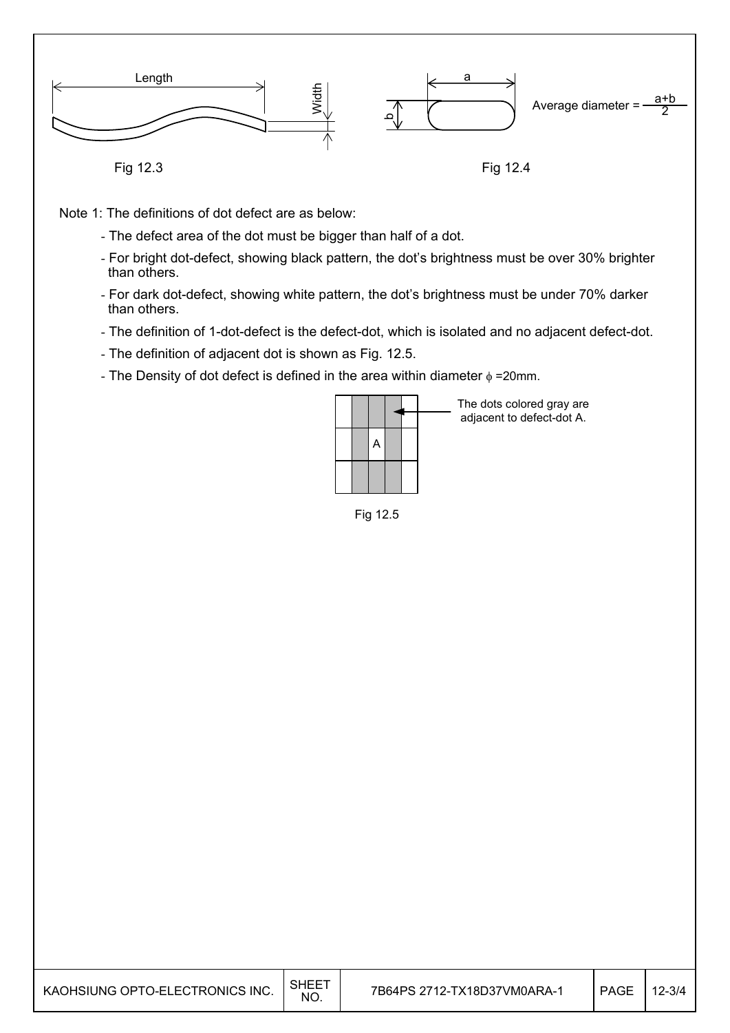

Note 1: The definitions of dot defect are as below:

- The defect area of the dot must be bigger than half of a dot.
- For bright dot-defect, showing black pattern, the dot's brightness must be over 30% brighter than others.
- For dark dot-defect, showing white pattern, the dot's brightness must be under 70% darker than others.
- The definition of 1-dot-defect is the defect-dot, which is isolated and no adjacent defect-dot.
- The definition of adjacent dot is shown as Fig. 12.5.
- The Density of dot defect is defined in the area within diameter  $\phi$  =20mm.

|  | A |  |  |
|--|---|--|--|
|  |   |  |  |
|  |   |  |  |

The dots colored gray are adjacent to defect-dot A.

Fig. 12.5 Fig 12.5

| KAOHSIUNG OPTO-ELECTRONICS INC. | SHEE<br><b>NO</b> | 7B64PS 2712-TX18D37VM0ARA-1 | <b>PAGE</b> | $12 - 3/4$ |
|---------------------------------|-------------------|-----------------------------|-------------|------------|
|---------------------------------|-------------------|-----------------------------|-------------|------------|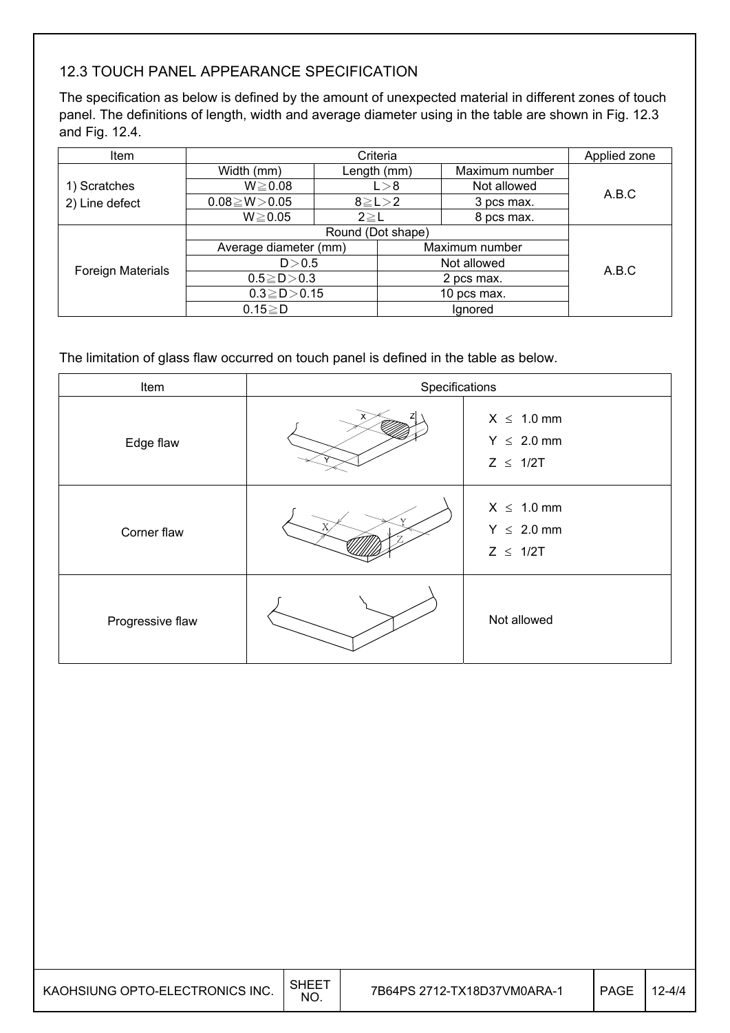### 12.3 TOUCH PANEL APPEARANCE SPECIFICATION

The specification as below is defined by the amount of unexpected material in different zones of touch panel. The definitions of length, width and average diameter using in the table are shown in Fig. 12.3 and Fig. 12.4.

| <b>Item</b>       | Criteria                   |                   |                      |                | Applied zone |  |
|-------------------|----------------------------|-------------------|----------------------|----------------|--------------|--|
|                   | Width (mm)                 |                   | Length (mm)          | Maximum number |              |  |
| 1) Scratches      | $W \ge 0.08$               |                   | Not allowed<br>L > 8 |                | A.B.C        |  |
| 2) Line defect    | $0.08 \ge W > 0.05$        | $8 \ge L > 2$     |                      | 3 pcs max.     |              |  |
|                   | $W \ge 0.05$<br>$2 \geq L$ |                   |                      | 8 pcs max.     |              |  |
|                   |                            | Round (Dot shape) |                      |                |              |  |
|                   | Average diameter (mm)      | Maximum number    |                      |                |              |  |
| Foreign Materials | D > 0.5                    |                   |                      | Not allowed    | A.B.C        |  |
|                   | $0.5 \ge D > 0.3$          |                   | 2 pcs max.           |                |              |  |
|                   | $0.3 \ge D > 0.15$         |                   |                      | 10 pcs max.    |              |  |
|                   | $0.15 \geq D$              |                   |                      | Ignored        |              |  |

The limitation of glass flaw occurred on touch panel is defined in the table as below.

| Item             | Specifications |                                                     |
|------------------|----------------|-----------------------------------------------------|
| Edge flaw        |                | $X \leq 1.0$ mm<br>$Y \leq 2.0$ mm<br>$Z \leq 1/2T$ |
| Corner flaw      |                | $X \leq 1.0$ mm<br>$Y \leq 2.0$ mm<br>$Z \leq 1/2T$ |
| Progressive flaw |                | Not allowed                                         |

| KAOHSIUNG OPTO-ELECTRONICS INC. | <b>SHEET</b><br><b>NO</b> | 7B64PS 2712-TX18D37VM0ARA-1 | <b>PAGE</b> | .2-4/4 |
|---------------------------------|---------------------------|-----------------------------|-------------|--------|
|---------------------------------|---------------------------|-----------------------------|-------------|--------|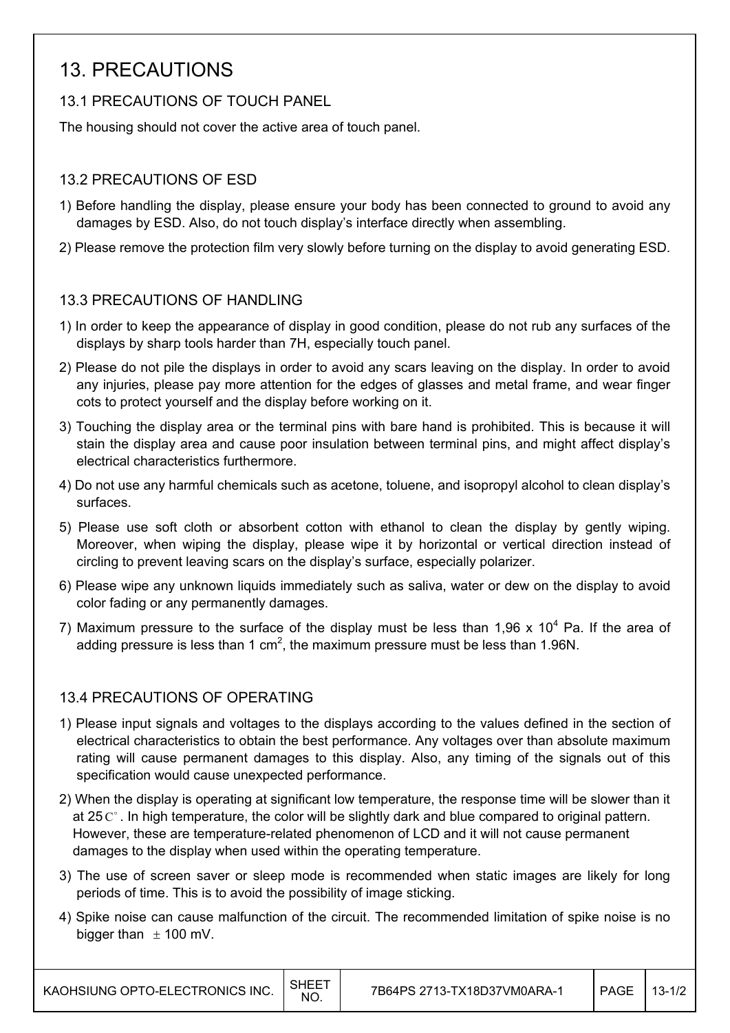## 13. PRECAUTIONS

#### 13.1 PRECAUTIONS OF TOUCH PANEL

The housing should not cover the active area of touch panel.

#### 13.2 PRECAUTIONS OF ESD

- 1) Before handling the display, please ensure your body has been connected to ground to avoid any damages by ESD. Also, do not touch display's interface directly when assembling.
- 2) Please remove the protection film very slowly before turning on the display to avoid generating ESD.

#### 13.3 PRECAUTIONS OF HANDLING

- 1) In order to keep the appearance of display in good condition, please do not rub any surfaces of the displays by sharp tools harder than 7H, especially touch panel.
- 2) Please do not pile the displays in order to avoid any scars leaving on the display. In order to avoid any injuries, please pay more attention for the edges of glasses and metal frame, and wear finger cots to protect yourself and the display before working on it.
- 3) Touching the display area or the terminal pins with bare hand is prohibited. This is because it will stain the display area and cause poor insulation between terminal pins, and might affect display's electrical characteristics furthermore.
- 4) Do not use any harmful chemicals such as acetone, toluene, and isopropyl alcohol to clean display's surfaces.
- 5) Please use soft cloth or absorbent cotton with ethanol to clean the display by gently wiping. Moreover, when wiping the display, please wipe it by horizontal or vertical direction instead of circling to prevent leaving scars on the display's surface, especially polarizer.
- 6) Please wipe any unknown liquids immediately such as saliva, water or dew on the display to avoid color fading or any permanently damages.
- 7) Maximum pressure to the surface of the display must be less than 1,96 x 10<sup>4</sup> Pa. If the area of adding pressure is less than 1 cm<sup>2</sup>, the maximum pressure must be less than 1.96N.

#### 13.4 PRECAUTIONS OF OPERATING

- 1) Please input signals and voltages to the displays according to the values defined in the section of electrical characteristics to obtain the best performance. Any voltages over than absolute maximum rating will cause permanent damages to this display. Also, any timing of the signals out of this specification would cause unexpected performance.
- 2) When the display is operating at significant low temperature, the response time will be slower than it at 25 $\degree$ . In high temperature, the color will be slightly dark and blue compared to original pattern. However, these are temperature-related phenomenon of LCD and it will not cause permanent damages to the display when used within the operating temperature.
- 3) The use of screen saver or sleep mode is recommended when static images are likely for long periods of time. This is to avoid the possibility of image sticking.
- 4) Spike noise can cause malfunction of the circuit. The recommended limitation of spike noise is no bigger than  $\pm$  100 mV.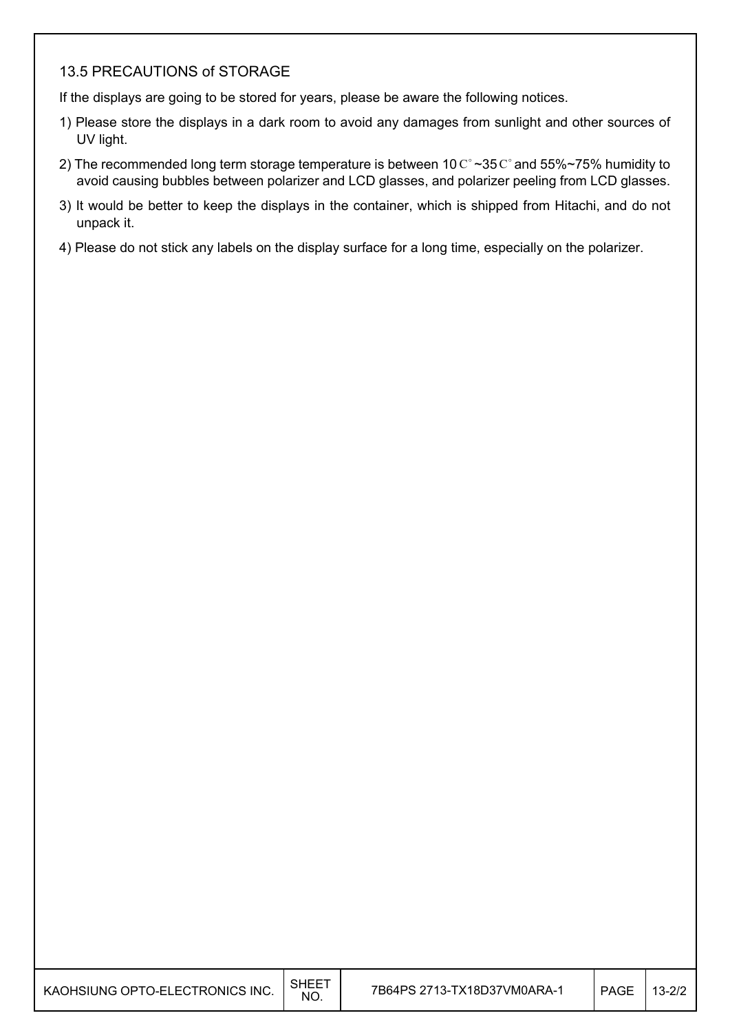#### 13.5 PRECAUTIONS of STORAGE

If the displays are going to be stored for years, please be aware the following notices.

- 1) Please store the displays in a dark room to avoid any damages from sunlight and other sources of UV light.
- 2) The recommended long term storage temperature is between 10  $\mathrm{C}^{\circ}$  ~35  $\mathrm{C}^{\circ}$  and 55%~75% humidity to avoid causing bubbles between polarizer and LCD glasses, and polarizer peeling from LCD glasses.
- 3) It would be better to keep the displays in the container, which is shipped from Hitachi, and do not unpack it.
- 4) Please do not stick any labels on the display surface for a long time, especially on the polarizer.

| KAOHSIUNG OPTO-ELECTRONICS INC. $\Big \!\!\big ^{\text{SHEET}}$ |  |
|-----------------------------------------------------------------|--|
|                                                                 |  |